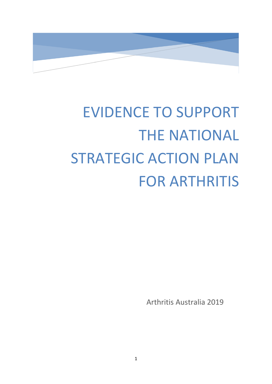

# EVIDENCE TO SUPPORT THE NATIONAL STRATEGIC ACTION PLAN FOR ARTHRITIS

Arthritis Australia 2019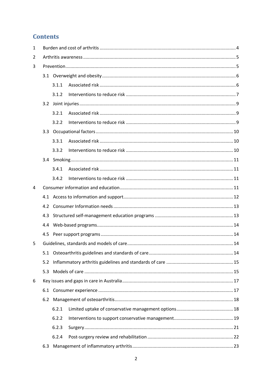## **Contents**

| 1 |     |       |  |  |  |  |
|---|-----|-------|--|--|--|--|
| 2 |     |       |  |  |  |  |
| 3 |     |       |  |  |  |  |
|   |     |       |  |  |  |  |
|   |     | 3.1.1 |  |  |  |  |
|   |     | 3.1.2 |  |  |  |  |
|   |     |       |  |  |  |  |
|   |     | 3.2.1 |  |  |  |  |
|   |     | 3.2.2 |  |  |  |  |
|   |     |       |  |  |  |  |
|   |     | 3.3.1 |  |  |  |  |
|   |     | 3.3.2 |  |  |  |  |
|   |     |       |  |  |  |  |
|   |     | 3.4.1 |  |  |  |  |
|   |     | 3.4.2 |  |  |  |  |
| 4 |     |       |  |  |  |  |
|   |     |       |  |  |  |  |
|   | 4.2 |       |  |  |  |  |
|   | 4.3 |       |  |  |  |  |
|   | 4.4 |       |  |  |  |  |
|   | 4.5 |       |  |  |  |  |
| 5 |     |       |  |  |  |  |
|   | 5.1 |       |  |  |  |  |
|   | 5.2 |       |  |  |  |  |
|   | 5.3 |       |  |  |  |  |
| 6 |     |       |  |  |  |  |
|   | 6.1 |       |  |  |  |  |
|   | 6.2 |       |  |  |  |  |
|   |     | 6.2.1 |  |  |  |  |
|   |     | 6.2.2 |  |  |  |  |
|   |     | 6.2.3 |  |  |  |  |
|   |     | 6.2.4 |  |  |  |  |
|   | 6.3 |       |  |  |  |  |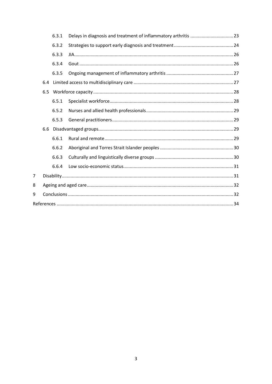|   |     | 6.3.1 |  |  |  |  |  |  |
|---|-----|-------|--|--|--|--|--|--|
|   |     | 6.3.2 |  |  |  |  |  |  |
|   |     | 6.3.3 |  |  |  |  |  |  |
|   |     | 6.3.4 |  |  |  |  |  |  |
|   |     | 6.3.5 |  |  |  |  |  |  |
|   | 6.4 |       |  |  |  |  |  |  |
|   | 6.5 |       |  |  |  |  |  |  |
|   |     | 6.5.1 |  |  |  |  |  |  |
|   |     | 6.5.2 |  |  |  |  |  |  |
|   |     | 6.5.3 |  |  |  |  |  |  |
|   | 6.6 |       |  |  |  |  |  |  |
|   |     | 6.6.1 |  |  |  |  |  |  |
|   |     | 6.6.2 |  |  |  |  |  |  |
|   |     | 6.6.3 |  |  |  |  |  |  |
|   |     | 6.6.4 |  |  |  |  |  |  |
| 7 |     |       |  |  |  |  |  |  |
| 8 |     |       |  |  |  |  |  |  |
| 9 |     |       |  |  |  |  |  |  |
|   |     |       |  |  |  |  |  |  |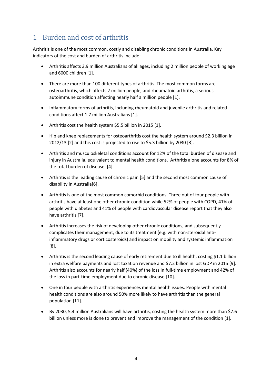# <span id="page-3-0"></span>1 Burden and cost of arthritis

Arthritis is one of the most common, costly and disabling chronic conditions in Australia. Key indicators of the cost and burden of arthritis include:

- Arthritis affects 3.9 million Australians of all ages, including 2 million people of working age and 6000 children [1].
- There are more than 100 different types of arthritis. The most common forms are osteoarthritis, which affects 2 million people, and rheumatoid arthritis, a serious autoimmune condition affecting nearly half a million people [1].
- Inflammatory forms of arthritis, including rheumatoid and juvenile arthritis and related conditions affect 1.7 million Australians [1].
- Arthritis cost the health system \$5.5 billion in 2015 [1].
- Hip and knee replacements for osteoarthritis cost the health system around \$2.3 billion in 2012/13 [2] and this cost is projected to rise to \$5.3 billion by 2030 [3].
- Arthritis and musculoskeletal conditions account for 12% of the total burden of disease and injury in Australia, equivalent to mental health conditions. Arthritis alone accounts for 8% of the total burden of disease. [4]
- Arthritis is the leading cause of chronic pain [5] and the second most common cause of disability in Australia[6].
- Arthritis is one of the most common comorbid conditions. Three out of four people with arthritis have at least one other chronic condition while 52% of people with COPD, 41% of people with diabetes and 41% of people with cardiovascular disease report that they also have arthritis [7].
- Arthritis increases the risk of developing other chronic conditions, and subsequently complicates their management, due to its treatment (e.g. with non-steroidal antiinflammatory drugs or corticosteroids) and impact on mobility and systemic inflammation [8].
- Arthritis is the second leading cause of early retirement due to ill health, costing \$1.1 billion in extra welfare payments and lost taxation revenue and \$7.2 billion in lost GDP in 2015 [9]. Arthritis also accounts for nearly half (40%) of the loss in full-time employment and 42% of the loss in part-time employment due to chronic disease [10].
- One in four people with arthritis experiences mental health issues. People with mental health conditions are also around 50% more likely to have arthritis than the general population [11].
- By 2030, 5.4 million Australians will have arthritis, costing the health system more than \$7.6 billion unless more is done to prevent and improve the management of the condition [1].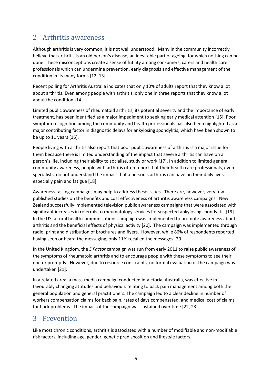# <span id="page-4-0"></span>2 Arthritis awareness

Although arthritis is very common, it is not well understood. Many in the community incorrectly believe that arthritis is an old person's disease, an inevitable part of ageing, for which nothing can be done. These misconceptions create a sense of futility among consumers, carers and health care professionals which can undermine prevention, early diagnosis and effective management of the condition in its many forms [12, 13].

Recent polling for Arthritis Australia indicates that only 10% of adults report that they know a lot about arthritis. Even among people with arthritis, only one in three reports that they know a lot about the condition [14].

Limited public awareness of rheumatoid arthritis, its potential severity and the importance of early treatment, has been identified as a major impediment to seeking early medical attention [15]. Poor symptom recognition among the community and health professionals has also been highlighted as a major contributing factor in diagnostic delays for ankylosing spondylitis, which have been shown to be up to 11 years [16].

People living with arthritis also report that poor public awareness of arthritis is a major issue for them because there is limited understanding of the impact that severe arthritis can have on a person's life, including their ability to socialise, study or work [17]. In addition to limited general community awareness, people with arthritis often report that their health care professionals, even specialists, do not understand the impact that a person's arthritis can have on their daily lives, especially pain and fatigue [18].

Awareness raising campaigns may help to address these issues. There are, however, very few published studies on the benefits and cost effectiveness of arthritis awareness campaigns. New Zealand successfully implemented television public awareness campaigns that were associated with significant increases in referrals to rheumatology services for suspected ankylosing spondylitis [19]. In the US, a rural health communications campaign was implemented to promote awareness about arthritis and the beneficial effects of physical activity [20]. The campaign was implemented through radio, print and distribution of brochures and flyers. However, while 86% of respondents reported having seen or heard the messaging, only 11% recalled the messages [20].

In the United Kingdom, the *S Factor* campaign was run from early 2011 to raise public awareness of the symptoms of rheumatoid arthritis and to encourage people with these symptoms to see their doctor promptly. However, due to resource constraints, no formal evaluation of the campaign was undertaken [21].

In a related area, a mass-media campaign conducted in Victoria, Australia, was effective in favourably changing attitudes and behaviours relating to back pain management among both the general population and general practitioners. The campaign led to a clear decline in number of workers compensation claims for back pain, rates of days compensated, and medical cost of claims for back problems. The impact of the campaign was sustained over time [22, 23].

# <span id="page-4-1"></span>3 Prevention

Like most chronic conditions, arthritis is associated with a number of modifiable and non-modifiable risk factors, including age, gender, genetic predisposition and lifestyle factors.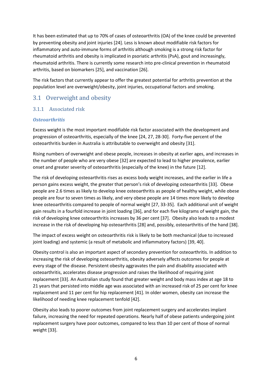It has been estimated that up to 70% of cases of osteoarthritis (OA) of the knee could be prevented by preventing obesity and joint injuries [24]. Less is known about modifiable risk factors for inflammatory and auto-immune forms of arthritis although smoking is a strong risk factor for rheumatoid arthritis and obesity is implicated in psoriatic arthritis (PsA), gout and increasingly, rheumatoid arthritis. There is currently some research into pre-clinical prevention in rheumatoid arthritis, based on biomarkers [25], and vaccination [26].

The risk factors that currently appear to offer the greatest potential for arthritis prevention at the population level are overweight/obesity, joint injuries, occupational factors and smoking.

## <span id="page-5-0"></span>3.1 Overweight and obesity

#### <span id="page-5-1"></span>3.1.1 Associated risk

#### *Osteoarthritis*

Excess weight is the most important modifiable risk factor associated with the development and progression of osteoarthritis, especially of the knee [24, 27, 28-30]. Forty-five percent of the osteoarthritis burden in Australia is attributable to overweight and obesity [31].

Rising numbers of overweight and obese people, increases in obesity at earlier ages, and increases in the number of people who are very obese [32] are expected to lead to higher prevalence, earlier onset and greater severity of osteoarthritis (especially of the knee) in the future [12].

The risk of developing osteoarthritis rises as excess body weight increases, and the earlier in life a person gains excess weight, the greater that person's risk of developing osteoarthritis [33]. Obese people are 2.6 times as likely to develop knee osteoarthritis as people of healthy weight, while obese people are four to seven times as likely, and very obese people are 14 times more likely to develop knee osteoarthritis compared to people of normal weight [27, 33-35]. Each additional unit of weight gain results in a fourfold increase in joint loading [36], and for each five kilograms of weight gain, the risk of developing knee osteoarthritis increases by 36 per cent [37]. Obesity also leads to a modest increase in the risk of developing hip osteoarthritis [28] and, possibly, osteoarthritis of the hand [38].

The impact of excess weight on osteoarthritis risk is likely to be both mechanical (due to increased joint loading) and systemic (a result of metabolic and inflammatory factors) [39, 40].

Obesity control is also an important aspect of secondary prevention for osteoarthritis. In addition to increasing the risk of developing osteoarthritis, obesity adversely affects outcomes for people at every stage of the disease. Persistent obesity aggravates the pain and disability associated with osteoarthritis, accelerates disease progression and raises the likelihood of requiring joint replacement [33]. An Australian study found that greater weight and body mass index at age 18 to 21 years that persisted into middle age was associated with an increased risk of 25 per cent for knee replacement and 11 per cent for hip replacement [41]. In older women, obesity can increase the likelihood of needing knee replacement tenfold [42].

Obesity also leads to poorer outcomes from joint replacement surgery and accelerates implant failure, increasing the need for repeated operations. Nearly half of obese patients undergoing joint replacement surgery have poor outcomes, compared to less than 10 per cent of those of normal weight [33].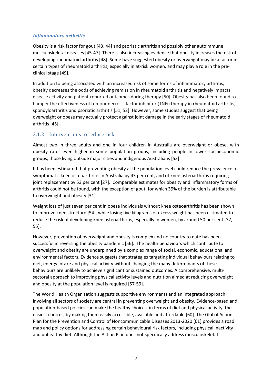#### *Inflammatory arthritis*

Obesity is a risk factor for gout [43, 44] and psoriatic arthritis and possibly other autoimmune musculoskeletal diseases [45-47]. There is also increasing evidence that obesity increases the risk of developing rheumatoid arthritis [48]. Some have suggested obesity or overweight may be a factor in certain types of rheumatoid arthritis, especially in at-risk women, and may play a role in the preclinical stage [49].

In addition to being associated with an increased risk of some forms of inflammatory arthritis, obesity decreases the odds of achieving remission in rheumatoid arthritis and negatively impacts disease activity and patient‐reported outcomes during therapy [50]. Obesity has also been found to hamper the effectiveness of tumour necrosis factor inhibitor (TNFi) therapy in rheumatoid arthritis, spondyloarthritis and psoriatic arthritis [51, 52]. However, some studies suggest that being overweight or obese may actually protect against joint damage in the early stages of rheumatoid arthritis [45].

#### <span id="page-6-0"></span>3.1.2 Interventions to reduce risk

Almost two in three adults and one in four children in Australia are overweight or obese, with obesity rates even higher in some population groups, including people in lower socioeconomic groups, those living outside major cities and indigenous Australians [53].

It has been estimated that preventing obesity at the population level could reduce the prevalence of symptomatic knee osteoarthritis in Australia by 43 per cent, and of knee osteoarthritis requiring joint replacement by 53 per cent [27]. Comparable estimates for obesity and inflammatory forms of arthritis could not be found, with the exception of gout, for which 39% of the burden is attributable to overweight and obesity [31].

Weight loss of just seven per cent in obese individuals without knee osteoarthritis has been shown to improve knee structure [54], while losing five kilograms of excess weight has been estimated to reduce the risk of developing knee osteoarthritis, especially in women, by around 50 per cent [37, 55].

However, prevention of overweight and obesity is complex and no country to date has been successful in reversing the obesity pandemic [56]. The health behaviours which contribute to overweight and obesity are underpinned by a complex range of social, economic, educational and environmental factors. Evidence suggests that strategies targeting individual behaviours relating to diet, energy intake and physical activity without changing the many determinants of these behaviours are unlikely to achieve significant or sustained outcomes. A comprehensive, multisectoral approach to improving physical activity levels and nutrition aimed at reducing overweight and obesity at the population level is required [57-59].

The World Health Organisation suggests supportive environments and an integrated approach involving all sectors of society are central in preventing overweight and obesity. Evidence-based and population-based policies can make the healthy choices, in terms of diet and physical activity, the easiest choices, by making them easily accessible, available and affordable [60]. The Global Action Plan for the Prevention and Control of Noncommunicable Diseases 2013-2020 [61] provides a road map and policy options for addressing certain behavioural risk factors, including physical inactivity and unhealthy diet. Although the Action Plan does not specifically address musculoskeletal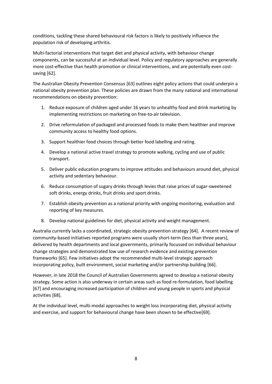conditions, tackling these shared behavioural risk factors is likely to positively influence the population risk of developing arthritis.

Multi-factorial interventions that target diet and physical activity, with behaviour change components, can be successful at an individual level. Policy and regulatory approaches are generally more cost-effective than health promotion or clinical interventions, and are potentially even costsaving [62].

The Australian Obesity Prevention Consensus [63] outlines eight policy actions that could underpin a national obesity prevention plan. These policies are drawn from the many national and international recommendations on obesity prevention:

- 1. Reduce exposure of children aged under 16 years to unhealthy food and drink marketing by implementing restrictions on marketing on free-to-air television.
- 2. Drive reformulation of packaged and processed foods to make them healthier and improve community access to healthy food options.
- 3. Support healthier food choices through better food labelling and rating.
- 4. Develop a national active travel strategy to promote walking, cycling and use of public transport.
- 5. Deliver public education programs to improve attitudes and behaviours around diet, physical activity and sedentary behaviour.
- 6. Reduce consumption of sugary drinks through levies that raise prices of sugar-sweetened soft drinks, energy drinks, fruit drinks and sport drinks.
- 7. Establish obesity prevention as a national priority with ongoing monitoring, evaluation and reporting of key measures.
- 8. Develop national guidelines for diet, physical activity and weight management.

Australia currently lacks a coordinated, strategic obesity prevention strategy [64]. A recent review of community-based initiatives reported programs were usually short-term (less than three years), delivered by health departments and local governments, primarily focussed on individual behaviour change strategies and demonstrated low use of research evidence and existing prevention frameworks [65]. Few initiatives adopt the recommended multi-level strategic approach incorporating policy, built environment, social marketing and/or partnership building [66].

However, in late 2018 the Council of Australian Governments agreed to develop a national obesity strategy. Some action is also underway in certain areas such as food re-formulation, food labelling [67] and encouraging increased participation of children and young people in sports and physical activities [68].

At the individual level, multi-modal approaches to weight loss incorporating diet, physical activity and exercise, and support for behavioural change have been shown to be effective[69].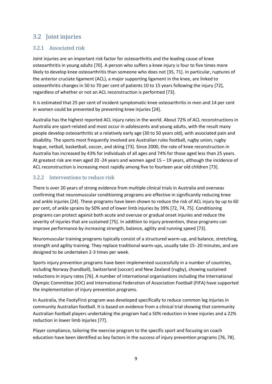## <span id="page-8-0"></span>3.2 Joint injuries

### <span id="page-8-1"></span>3.2.1 Associated risk

Joint injuries are an important risk factor for osteoarthritis and the leading cause of knee osteoarthritis in young adults [70]. A person who suffers a knee injury is four to five times more likely to develop knee osteoarthritis than someone who does not [35, 71]. In particular, ruptures of the anterior cruciate ligament (ACL), a major supporting ligament in the knee, are linked to osteoarthritis changes in 50 to 70 per cent of patients 10 to 15 years following the injury [72], regardless of whether or not an ACL reconstruction is performed [73].

It is estimated that 25 per cent of incident symptomatic knee osteoarthritis in men and 14 per cent in women could be prevented by preventing knee injuries [24].

Australia has the highest reported ACL injury rates in the world. About 72% of ACL reconstructions in Australia are sport-related and most occur in adolescents and young adults, with the result many people develop osteoarthritis at a relatively early age (30 to 50 years old), with associated pain and disability. The sports most frequently involved are Australian rules football, rugby union, rugby league, netball, basketball, soccer, and skiing [73]. Since 2000, the rate of knee reconstruction in Australia has increased by 43% for individuals of all ages and 74% for those aged less than 25 years. At greatest risk are men aged 20 -24 years and women aged 15 – 19 years, although the incidence of ACL reconstruction is increasing most rapidly among five to fourteen year old children [73].

#### <span id="page-8-2"></span>3.2.2 Interventions to reduce risk

There is over 20 years of strong evidence from multiple clinical trials in Australia and overseas confirming that neuromuscular conditioning programs are effective in significantly reducing knee and ankle injuries [24]. These programs have been shown to reduce the risk of ACL injury by up to 60 per cent, of ankle sprains by 50% and of lower limb injuries by 39% [72, 74, 75]. Conditioning programs can protect against both acute and overuse or gradual onset injuries and reduce the severity of injuries that are sustained [75]. In addition to injury prevention, these programs can improve performance by increasing strength, balance, agility and running speed [73].

Neuromuscular training programs typically consist of a structured warm-up, and balance, stretching, strength and agility training. They replace traditional warm-ups, usually take 15- 20 minutes, and are designed to be undertaken 2-3 times per week.

Sports injury prevention programs have been implemented successfully in a number of countries, including Norway (handball), Switzerland (soccer) and New Zealand (rugby), showing sustained reductions in injury rates [76]. A number of international organisations including the International Olympic Committee (IOC) and International Federation of Association Football (FIFA) have supported the implementation of injury prevention programs.

In Australia, the FootyFirst program was developed specifically to reduce common leg injuries in community Australian football. It is based on evidence from a clinical trial showing that community Australian football players undertaking the program had a 50% reduction in knee injuries and a 22% reduction in lower limb injuries [77].

Player compliance, tailoring the exercise program to the specific sport and focusing on coach education have been identified as key factors in the success of injury prevention programs [76, 78].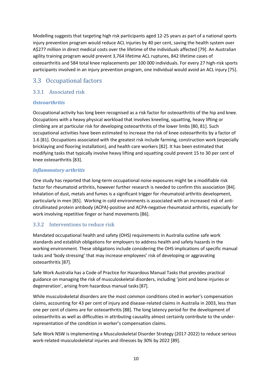Modelling suggests that targeting high risk participants aged 12-25 years as part of a national sports injury prevention program would reduce ACL injuries by 40 per cent, saving the health system over A\$277 million in direct medical costs over the lifetime of the individuals affected [79]. An Australian agility training program would prevent 3,764 lifetime ACL ruptures, 842 lifetime cases of osteoarthritis and 584 total knee replacements per 100 000 individuals. For every 27 high-risk sports participants involved in an injury prevention program, one individual would avoid an ACL injury [75].

## <span id="page-9-0"></span>3.3 Occupational factors

#### <span id="page-9-1"></span>3.3.1 Associated risk

#### *Osteoarthritis*

Occupational activity has long been recognised as a risk factor for osteoarthritis of the hip and knee. Occupations with a heavy physical workload that involves kneeling, squatting, heavy lifting or climbing are at particular risk for developing osteoarthritis of the lower limbs [80, 81]. Such occupational activities have been estimated to increase the risk of knee osteoarthritis by a factor of 1.6 [81]. Occupations associated with the greatest risk include farming, construction work (especially bricklaying and flooring installation), and health care workers [82]. It has been estimated that modifying tasks that typically involve heavy lifting and squatting could prevent 15 to 30 per cent of knee osteoarthritis [83].

#### *Inflammatory arthritis*

One study has reported that long-term occupational noise exposures might be a modifiable risk factor for rheumatoid arthritis, however further research is needed to confirm this association [84]. Inhalation of dust, metals and fumes is a significant trigger for rheumatoid arthritis development, particularly in men [85]. Working in cold environments is associated with an increased risk of anticitrullinated protein antibody (ACPA)-positive and ACPA-negative rheumatoid arthritis, especially for work involving repetitive finger or hand movements [86].

#### <span id="page-9-2"></span>3.3.2 Interventions to reduce risk

Mandated occupational health and safety (OHS) requirements in Australia outline safe work standards and establish obligations for employers to address health and safety hazards in the working environment. These obligations include considering the OHS implications of specific manual tasks and 'body stressing' that may increase employees' risk of developing or aggravating osteoarthritis [87].

Safe Work Australia has a Code of Practice for Hazardous Manual Tasks that provides practical guidance on managing the risk of musculoskeletal disorders, including 'joint and bone injuries or degeneration', arising from hazardous manual tasks[87].

While musculoskeletal disorders are the most common conditions cited in worker's compensation claims, accounting for 43 per cent of injury and disease-related claims in Australia in 2003, less than one per cent of claims are for osteoarthritis [88]. The long latency period for the development of osteoarthritis as well as difficulties in attributing causality almost certainly contribute to the underrepresentation of the condition in worker's compensation claims.

Safe Work NSW is implementing a Musculoskeletal Disorder Strategy (2017-2022) to reduce serious work-related musculoskeletal injuries and illnesses by 30% by 2022 [89].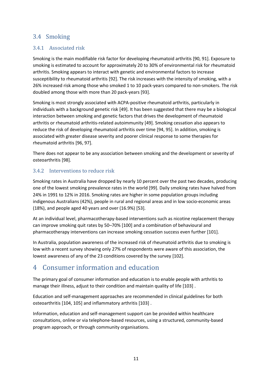## <span id="page-10-0"></span>3.4 Smoking

#### <span id="page-10-1"></span>3.4.1 Associated risk

Smoking is the main modifiable risk factor for developing rheumatoid arthritis [90, 91]. Exposure to smoking is estimated to account for approximately 20 to 30% of environmental risk for rheumatoid arthritis. Smoking appears to interact with genetic and environmental factors to increase susceptibility to rheumatoid arthritis [92]. The risk increases with the intensity of smoking, with a 26% increased risk among those who smoked 1 to 10 pack-years compared to non-smokers. The risk doubled among those with more than 20 pack-years [93].

Smoking is most strongly associated with ACPA-positive rheumatoid arthritis, particularly in individuals with a background genetic risk [49]. It has been suggested that there may be a biological interaction between smoking and genetic factors that drives the development of rheumatoid arthritis or rheumatoid arthritis-related autoimmunity [49]. Smoking cessation also appears to reduce the risk of developing rheumatoid arthritis over time [94, 95]. In addition, smoking is associated with greater disease severity and poorer clinical response to some therapies for rheumatoid arthritis [96, 97].

There does not appear to be any association between smoking and the development or severity of osteoarthritis [98].

#### <span id="page-10-2"></span>3.4.2 Interventions to reduce risk

Smoking rates in Australia have dropped by nearly 10 percent over the past two decades, producing one of the lowest smoking prevalence rates in the world [99]. Daily smoking rates have halved from 24% in 1991 to 12% in 2016. Smoking rates are higher in some population groups including indigenous Australians (42%), people in rural and regional areas and in low socio-economic areas (18%), and people aged 40 years and over (16.9%) [53].

At an individual level, pharmacotherapy-based interventions such as nicotine replacement therapy can improve smoking quit rates by 50–70% [100] and a combination of behavioural and pharmacotherapy interventions can increase smoking cessation success even further [101].

In Australia, population awareness of the increased risk of rheumatoid arthritis due to smoking is low with a recent survey showing only 27% of respondents were aware of this association, the lowest awareness of any of the 23 conditions covered by the survey [102].

# <span id="page-10-3"></span>4 Consumer information and education

The primary goal of consumer information and education is to enable people with arthritis to manage their illness, adjust to their condition and maintain quality of life [103] .

Education and self-management approaches are recommended in clinical guidelines for both osteoarthritis [104, 105] and inflammatory arthritis [103] .

Information, education and self-management support can be provided within healthcare consultations, online or via telephone-based resources, using a structured, community-based program approach, or through community organisations.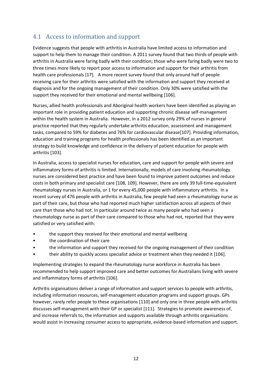## <span id="page-11-0"></span>4.1 Access to information and support

Evidence suggests that people with arthritis in Australia have limited access to information and support to help them to manage their condition. A 2011 survey found that two thirds of people with arthritis in Australia were faring badly with their condition; those who were faring badly were two to three times more likely to report poor access to information and support for their arthritis from health care professionals [17]. A more recent survey found that only around half of people receiving care for their arthritis were satisfied with the information and support they received at diagnosis and for the ongoing management of their condition. Only 30% were satisfied with the support they received for their emotional and mental wellbeing [106].

Nurses, allied health professionals and Aboriginal health workers have been identified as playing an important role in providing patient education and supporting chronic disease self-management within the health system in Australia. However, in a 2012 survey only 29% of nurses in general practice reported that they regularly undertake arthritis education, assessment and management tasks, compared to 59% for diabetes and 76% for cardiovascular disease[107]. Providing information, education and training programs for health professionals has been identified as an important strategy to build knowledge and confidence in the delivery of patient education for people with arthritis [103].

In Australia, access to specialist nurses for education, care and support for people with severe and inflammatory forms of arthritis is limited. Internationally, models of care involving rheumatology nurses are considered best practice and have been found to improve patient outcomes and reduce costs in both primary and specialist care [108, 109]. However, there are only 39 full-time-equivalent rheumatology nurses in Australia, or 1 for every 45,000 people with inflammatory arthritis. In a recent survey of 476 people with arthritis in Australia, few people had seen a rheumatology nurse as part of their care, but those who had reported much higher satisfaction across all aspects of their care than those who had not. In particular around twice as many people who had seen a rheumatology nurse as part of their care compared to those who had not, reported that they were satisfied or very satisfied with:

- the support they received for their emotional and mental wellbeing
- the coordination of their care
- the information and support they received for the ongoing management of their condition
- their ability to quickly access specialist advice or treatment when they needed it [106].

Implementing strategies to expand the rheumatology nurse workforce in Australia has been recommended to help support improved care and better outcomes for Australians living with severe and inflammatory forms of arthritis [106].

Arthritis organisations deliver a range of information and support services to people with arthritis, including information resources, self-management education programs and support groups. GPs however, rarely refer people to these organisations [110] and only one in three people with arthritis discusses self-management with their GP or specialist [111]. Strategies to promote awareness of, and increase referrals to, the information and supports available through arthritis organisations would assist in increasing consumer access to appropriate, evidence-based information and support.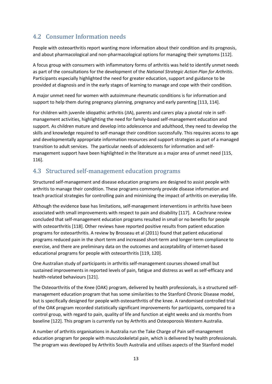## <span id="page-12-0"></span>4.2 Consumer Information needs

People with osteoarthritis report wanting more information about their condition and its prognosis, and about pharmacological and non-pharmacological options for managing their symptoms [112].

A focus group with consumers with inflammatory forms of arthritis was held to identify unmet needs as part of the consultations for the development of the *National Strategic Action Plan for Arthritis*. Participants especially highlighted the need for greater education, support and guidance to be provided at diagnosis and in the early stages of learning to manage and cope with their condition.

A major unmet need for women with autoimmune rheumatic conditions is for information and support to help them during pregnancy planning, pregnancy and early parenting [113, 114].

For children with juvenile idiopathic arthritis (JIA), parents and carers play a pivotal role in selfmanagement activities, highlighting the need for family-based self-management education and support. As children mature and develop into adolescence and adulthood, they need to develop the skills and knowledge required to self-manage their condition successfully. This requires access to age and developmentally appropriate information resources and support strategies as part of a managed transition to adult services. The particular needs of adolescents for information and selfmanagement support have been highlighted in the literature as a major area of unmet need [115, 116].

## <span id="page-12-1"></span>4.3 Structured self-management education programs

Structured self-management and disease education programs are designed to assist people with arthritis to manage their condition. These programs commonly provide disease information and teach practical strategies for controlling pain and minimising the impact of arthritis on everyday life.

Although the evidence base has limitations, self-management interventions in arthritis have been associated with small improvements with respect to pain and disability [117]. A Cochrane review concluded that self-management education programs resulted in small or no benefits for people with osteoarthritis [118]. Other reviews have reported positive results from patient education programs for osteoarthritis. A review by Brosseau et al (2011) found that patient educational programs reduced pain in the short term and increased short-term and longer-term compliance to exercise, and there are preliminary data on the outcomes and acceptability of internet-based educational programs for people with osteoarthritis [119, 120].

One Australian study of participants in arthritis self-management courses showed small but sustained improvements in reported levels of pain, fatigue and distress as well as self-efficacy and health-related behaviours [121].

The Osteoarthritis of the Knee (OAK) program, delivered by health professionals, is a structured selfmanagement education program that has some similarities to the Stanford Chronic Disease model, but is specifically designed for people with osteoarthritis of the knee. A randomised controlled trial of the OAK program recorded statistically significant improvements for participants, compared to a control group, with regard to pain, quality of life and function at eight weeks and six months from baseline [122]. This program is currently run by Arthritis and Osteoporosis Western Australia.

A number of arthritis organisations in Australia run the Take Charge of Pain self-management education program for people with musculoskeletal pain, which is delivered by health professionals. The program was developed by Arthritis South Australia and utilises aspects of the Stanford model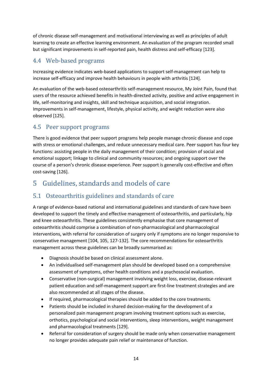of chronic disease self-management and motivational interviewing as well as principles of adult learning to create an effective learning environment. An evaluation of the program recorded small but significant improvements in self-reported pain, health distress and self-efficacy [123].

## <span id="page-13-0"></span>4.4 Web-based programs

Increasing evidence indicates web-based applications to support self-management can help to increase self-efficacy and improve health behaviours in people with arthritis [124].

An evaluation of the web-based osteoarthritis self-management resource, My Joint Pain, found that users of the resource achieved benefits in health-directed activity, positive and active engagement in life, self-monitoring and insights, skill and technique acquisition, and social integration. Improvements in self-management, lifestyle, physical activity, and weight reduction were also observed [125].

## <span id="page-13-1"></span>4.5 Peer support programs

There is good evidence that peer support programs help people manage chronic disease and cope with stress or emotional challenges, and reduce unnecessary medical care. Peer support has four key functions: assisting people in the daily management of their condition; provision of social and emotional support; linkage to clinical and community resources; and ongoing support over the course of a person's chronic disease experience. Peer support is generally cost-effective and often cost-saving [126].

# <span id="page-13-2"></span>5 Guidelines, standards and models of care

## <span id="page-13-3"></span>5.1 Osteoarthritis guidelines and standards of care

A range of evidence-based national and international guidelines and standards of care have been developed to support the timely and effective management of osteoarthritis, and particularly, hip and knee osteoarthritis. These guidelines consistently emphasise that core management of osteoarthritis should comprise a combination of non-pharmacological and pharmacological interventions, with referral for consideration of surgery only if symptoms are no longer responsive to conservative management [104, 105, 127-132]. The core recommendations for osteoarthritis management across these guidelines can be broadly summarised as:

- Diagnosis should be based on clinical assessment alone.
- An individualised self-management plan should be developed based on a comprehensive assessment of symptoms, other health conditions and a psychosocial evaluation.
- Conservative (non-surgical) management involving weight loss, exercise, disease-relevant patient education and self-management support are first-line treatment strategies and are also recommended at all stages of the disease.
- If required, pharmacological therapies should be added to the core treatments.
- Patients should be included in shared decision-making for the development of a personalized pain management program involving treatment options such as exercise, orthotics, psychological and social interventions, sleep interventions, weight management and pharmacological treatments [129].
- Referral for consideration of surgery should be made only when conservative management no longer provides adequate pain relief or maintenance of function.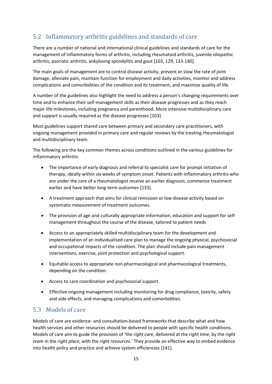## <span id="page-14-0"></span>5.2 Inflammatory arthritis guidelines and standards of care

There are a number of national and international clinical guidelines and standards of care for the management of inflammatory forms of arthritis, including rheumatoid arthritis, juvenile idiopathic arthritis, psoriatic arthritis, ankylosing spondylitis and gout [103, 129, 133-140].

The main goals of management are to control disease activity, prevent or slow the rate of joint damage, alleviate pain, maintain function for employment and daily activities, monitor and address complications and comorbidities of the condition and its treatment, and maximise quality of life.

A number of the guidelines also highlight the need to address a person's changing requirements over time and to enhance their self-management skills as their disease progresses and as they reach major life milestones, including pregnancy and parenthood. More intensive multidisciplinary care and support is usually required as the disease progresses [103].

Most guidelines support shared care between primary and secondary care practitioners, with ongoing management provided in primary care and regular reviews by the treating rheumatologist and multidisciplinary team.

The following are the key common themes across conditions outlined in the various guidelines for inflammatory arthritis:

- The importance of early diagnosis and referral to specialist care for prompt initiation of therapy, ideally within six weeks of symptom onset. Patients with inflammatory arthritis who are under the care of a rheumatologist receive an earlier diagnosis, commence treatment earlier and have better long-term outcomes [133].
- A treatment approach that aims for clinical remission or low disease activity based on systematic measurement of treatment outcomes.
- The provision of age and culturally appropriate information, education and support for selfmanagement throughout the course of the disease, tailored to patient needs
- Access to an appropriately skilled multidisciplinary team for the development and implementation of an individualised care plan to manage the ongoing physical, psychosocial and occupational impacts of the condition. The plan should include pain management interventions, exercise, joint protection and psychological support.
- Equitable access to appropriate non-pharmacological and pharmacological treatments, depending on the condition.
- Access to care coordination and psychosocial support.
- Effective ongoing management including monitoring for drug compliance, toxicity, safety and side effects, and managing complications and comorbidities.

## <span id="page-14-1"></span>5.3 Models of care

Models of care are evidence- and consultation-based frameworks that describe what and how health services and other resources should be delivered to people with specific health conditions. Models of care aim to guide the provision of 'the *right care*, delivered at the *right time*, by the *right team* in the *right place*, with the *right resources*.' They provide an effective way to embed evidence into health policy and practice and achieve system efficiencies [141].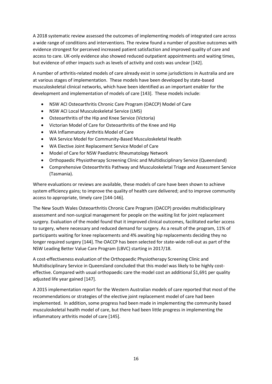A 2018 systematic review assessed the outcomes of implementing models of integrated care across a wide range of conditions and interventions. The review found a number of positive outcomes with evidence strongest for perceived increased patient satisfaction and improved quality of care and access to care. UK-only evidence also showed reduced outpatient appointments and waiting times, but evidence of other impacts such as levels of activity and costs was unclear [142].

A number of arthritis-related models of care already exist in some jurisdictions in Australia and are at various stages of implementation. These models have been developed by state-based musculoskeletal clinical networks, which have been identified as an important enabler for the development and implementation of models of care [143]. These models include:

- NSW ACI Osteoarthritis Chronic Care Program (OACCP) Model of Care
- NSW ACI Local Musculoskeletal Service (LMS)
- Osteoarthritis of the Hip and Knee Service (Victoria)
- Victorian Model of Care for Osteoarthritis of the Knee and Hip
- WA Inflammatory Arthritis Model of Care
- WA Service Model for Community-Based Musculoskeletal Health
- WA Elective Joint Replacement Service Model of Care
- Model of Care for NSW Paediatric Rheumatology Network
- Orthopaedic Physiotherapy Screening Clinic and Multidisciplinary Service (Queensland)
- Comprehensive Osteoarthritis Pathway and Musculoskeletal Triage and Assessment Service (Tasmania).

Where evaluations or reviews are available, these models of care have been shown to achieve system efficiency gains; to improve the quality of health care delivered; and to improve community access to appropriate, timely care [144-146].

The New South Wales Osteoarthritis Chronic Care Program (OACCP) provides multidisciplinary assessment and non-surgical management for people on the waiting list for joint replacement surgery. Evaluation of the model found that it improved clinical outcomes, facilitated earlier access to surgery, where necessary and reduced demand for surgery. As a result of the program, 11% of participants waiting for knee replacements and 4% awaiting hip replacements deciding they no longer required surgery [144]. The OACCP has been selected for state-wide roll-out as part of the NSW Leading Better Value Care Program (LBVC) starting in 2017/18.

A cost-effectiveness evaluation of the Orthopaedic Physiotherapy Screening Clinic and Multidisciplinary Service in Queensland concluded that this model was likely to be highly costeffective. Compared with usual orthopaedic care the model cost an additional \$1,691 per quality adjusted life year gained [147].

A 2015 implementation report for the Western Australian models of care reported that most of the recommendations or strategies of the elective joint replacement model of care had been implemented. In addition, some progress had been made in implementing the community based musculoskeletal health model of care, but there had been little progress in implementing the inflammatory arthritis model of care [145].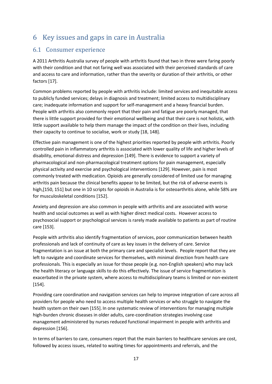# <span id="page-16-0"></span>6 Key issues and gaps in care in Australia

## <span id="page-16-1"></span>6.1 Consumer experience

A 2011 Arthritis Australia survey of people with arthritis found that two in three were faring poorly with their condition and that not faring well was associated with their perceived standards of care and access to care and information, rather than the severity or duration of their arthritis, or other factors [17].

Common problems reported by people with arthritis include: limited services and inequitable access to publicly funded services; delays in diagnosis and treatment; limited access to multidisciplinary care; inadequate information and support for self-management and a heavy financial burden. People with arthritis also commonly report that their pain and fatigue are poorly managed, that there is little support provided for their emotional wellbeing and that their care is not holistic, with little support available to help them manage the impact of the condition on their lives, including their capacity to continue to socialise, work or study [18, 148].

Effective pain management is one of the highest priorities reported by people with arthritis. Poorly controlled pain in inflammatory arthritis is associated with lower quality of life and higher levels of disability, emotional distress and depression [149]. There is evidence to support a variety of pharmacological and non-pharmacological treatment options for pain management, especially physical activity and exercise and psychological interventions [129]. However, pain is most commonly treated with medication. Opioids are generally considered of limited use for managing arthritis pain because the clinical benefits appear to be limited, but the risk of adverse events is high,[150, 151] but one in 10 scripts for opioids in Australia is for osteoarthritis alone, while 58% are for musculoskeletal conditions [152].

Anxiety and depression are also common in people with arthritis and are associated with worse health and social outcomes as well as with higher direct medical costs. However access to psychosocial support or psychological services is rarely made available to patients as part of routine care [153].

People with arthritis also identify fragmentation of services, poor communication between health professionals and lack of continuity of care as key issues in the delivery of care. Service fragmentation is an issue at both the primary care and specialist levels. People report that they are left to navigate and coordinate services for themselves, with minimal direction from health care professionals. This is especially an issue for those people (e.g. non-English speakers) who may lack the health literacy or language skills to do this effectively. The issue of service fragmentation is exacerbated in the private system, where access to multidisciplinary teams is limited or non-existent [154].

Providing care coordination and navigation services can help to improve integration of care across all providers for people who need to access multiple health services or who struggle to navigate the health system on their own [155]. In one systematic review of interventions for managing multiple high-burden chronic diseases in older adults, care-coordination strategies involving case management administered by nurses reduced functional impairment in people with arthritis and depression [156].

In terms of barriers to care, consumers report that the main barriers to healthcare services are cost, followed by access issues, related to waiting times for appointments and referrals, and the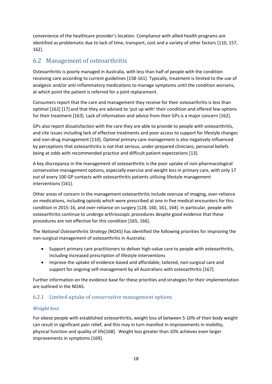convenience of the healthcare provider's location. Compliance with allied health programs are identified as problematic due to lack of time, transport, cost and a variety of other factors [110, 157, 162].

## <span id="page-17-0"></span>6.2 Management of osteoarthritis

Osteoarthritis is poorly managed in Australia, with less than half of people with the condition receiving care according to current guidelines [158-161]. Typically, treatment is limited to the use of analgesic and/or anti-inflammatory medications to manage symptoms until the condition worsens, at which point the patient is referred for a joint replacement.

Consumers report that the care and management they receive for their osteoarthritis is less than optimal [162] [17] and that they are advised to 'put up with' their condition and offered few options for their treatment [163]. Lack of information and advice from their GPs is a major concern [162].

GPs also report dissatisfaction with the care they are able to provide to people with osteoarthritis, and cite issues including lack of effective treatments and poor access to support for lifestyle changes and non-drug management [110]. Optimal primary care management is also negatively influenced by perceptions that osteoarthritis is not that serious, under-prepared clinicians, personal beliefs being at odds with recommended practice and difficult patient expectations [13].

A key discrepancy in the management of osteoarthritis is the poor uptake of non-pharmacological conservative management options, especially exercise and weight loss in primary care, with only 17 out of every 100 GP contacts with osteoarthritis patients utilising lifestyle management interventions [161].

Other areas of concern in the management osteoarthritis include overuse of imaging, over-reliance on medications, including opioids which were prescribed at one in five medical encounters for this condition in 2015-16, and over-reliance on surgery [128, 160, 161, 164]. In particular, people with osteoarthritis continue to undergo arthroscopic procedures despite good evidence that these procedures are not effective for this condition [165, 166].

The *National Osteoarthritis Strategy* (NOAS) has identified the following priorities for improving the non-surgical management of osteoarthritis in Australia:

- Support primary care practitioners to deliver high-value care to people with osteoarthritis, including increased prescription of lifestyle interventions
- Improve the uptake of evidence-based and affordable, tailored, non-surgical care and support for ongoing self-management by all Australians with osteoarthritis [167].

Further information on the evidence base for these priorities and strategies for their implementation are outlined in the NOAS.

#### <span id="page-17-1"></span>6.2.1 Limited uptake of conservative management options

#### *Weight loss*

For obese people with established osteoarthritis, weight loss of between 5-10% of their body weight can result in significant pain relief, and this may in turn manifest in improvements in mobility, physical function and quality of life[168]. Weight loss greater than 10% achieves even larger improvements in symptoms [169].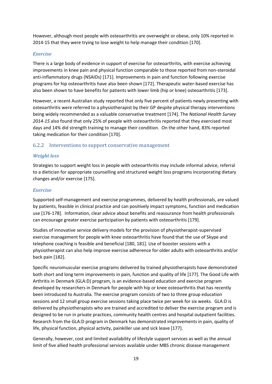However, although most people with osteoarthritis are overweight or obese, only 10% reported in 2014-15 that they were trying to lose weight to help manage their condition [170].

#### *Exercise*

There is a large body of evidence in support of exercise for osteoarthritis, with exercise achieving improvements in knee pain and physical function comparable to those reported from non-steroidal anti-inflammatory drugs (NSAIDs) [171]. Improvements in pain and function following exercise programs for hip osteoarthritis have also been shown [172]. Therapeutic water-based exercise has also been shown to have benefits for patients with lower limb (hip or knee) osteoarthritis [173].

However, a recent Australian study reported that only five percent of patients newly presenting with osteoarthritis were referred to a physiotherapist by their GP despite physical therapy interventions being widely recommended as a valuable conservative treatment [174]. The *National Health Survey 2014-15* also found that only 25% of people with osteoarthritis reported that they exercised most days and 14% did strength training to manage their condition. On the other hand, 83% reported taking medication for their condition [170].

#### <span id="page-18-0"></span>6.2.2 Interventions to support conservative management

#### *Weight loss*

Strategies to support weight loss in people with osteoarthritis may include informal advice, referral to a dietician for appropriate counselling and structured weight loss programs incorporating dietary changes and/or exercise [175].

#### *Exercise*

Supported self-management and exercise programmes, delivered by health professionals, are valued by patients, feasible in clinical practice and can positively impact symptoms, function and medication use [176-178]. Information, clear advice about benefits and reassurance from health professionals can encourage greater exercise participation by patients with osteoarthritis [179].

Studies of innovative service delivery models for the provision of physiotherapist-supervised exercise management for people with knee osteoarthritis have found that the use of Skype and telephone coaching is feasible and beneficial [180, 181]. Use of booster sessions with a physiotherapist can also help improve exercise adherence for older adults with osteoarthritis and/or back pain [182].

Specific neuromuscular exercise programs delivered by trained physiotherapists have demonstrated both short and long term improvements in pain, function and quality of life [177]. The Good Life with Arthritis in Denmark (GLA:D) program, is an evidence-based education and exercise program developed by researchers in Denmark for people with hip or knee osteoarthritis that has recently been introduced to Australia. The exercise program consists of two to three group education sessions and 12 small group exercise sessions taking place twice per week for six weeks. GLA:D is delivered by physiotherapists who are trained and accredited to deliver the exercise program and is designed to be run in private practices, community health centres and hospital outpatient facilities. Research from the GLA:D program in Denmark has demonstrated improvements in pain, quality of life, physical function, physical activity, painkiller use and sick leave [177].

Generally, however, cost and limited availability of lifestyle support services as well as the annual limit of five allied health professional services available under MBS chronic disease management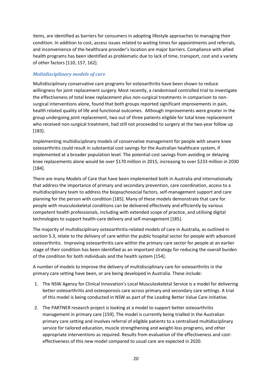items, are identified as barriers for consumers in adopting lifestyle approaches to managing their condition. In addition to cost, access issues related to waiting times for appointments and referrals, and inconvenience of the healthcare provider's location are major barriers. Compliance with allied health programs has been identified as problematic due to lack of time, transport, cost and a variety of other factors [110, 157, 162].

#### *Multidisciplinary models of care*

Multidisciplinary conservative care programs for osteoarthritis have been shown to reduce willingness for joint replacement surgery.Most recently, a randomised controlled trial to investigate the effectiveness of total knee replacement plus non-surgical treatments in comparison to nonsurgical interventions alone, found that both groups reported significant improvements in pain, health related quality of life and functional outcomes. Although improvements were greater in the group undergoing joint replacement, two out of three patients eligible for total knee replacement who received non-surgical treatment, had still not proceeded to surgery at the two-year follow up [183].

Implementing multidisciplinary models of conservative management for people with severe knee osteoarthritis could result in substantial cost savings for the Australian healthcare system, if implemented at a broader population level. The potential cost savings from avoiding or delaying knee replacements alone would be over \$170 million in 2015, increasing to over \$233 million in 2030 [184].

There are many Models of Care that have been implemented both in Australia and internationally that address the importance of primary and secondary prevention, care coordination, access to a multidisciplinary team to address the biopsychosocial factors, self-management support and care planning for the person with condition [185]. Many of these models demonstrate that care for people with musculoskeletal conditions can be delivered effectively and efficiently by various competent health professionals, including with extended scope of practice, and utilising digital technologies to support health-care delivery and self-management [185].

The majority of multidisciplinary osteoarthritis-related models of care in Australia, as outlined in section 5.3, relate to the delivery of care within the public hospital sector for people with advanced osteoarthritis. Improving osteoarthritis care within the primary care sector for people at an earlier stage of their condition has been identified as an important strategy for reducing the overall burden of the condition for both individuals and the health system [154].

A number of models to improve the delivery of multidisciplinary care for osteoarthritis in the primary care setting have been, or are being developed in Australia. These include:

- 1. The NSW Agency for Clinical Innovation's Local Musculoskeletal Service is a model for delivering better osteoarthritis and osteoporosis care across primary and secondary care settings. A trial of this model is being conducted in NSW as part of the Leading Better Value Care initiative.
- 2. The PARTNER research project is looking at a model to support better osteoarthritis management in primary care [159]. The model is currently being trialled in the Australian primary care setting and involves referral of eligible patients to a centralised multidisciplinary service for tailored education, muscle strengthening and weight-loss programs, and other appropriate interventions as required. Results from evaluation of the effectiveness and costeffectiveness of this new model compared to usual care are expected in 2020.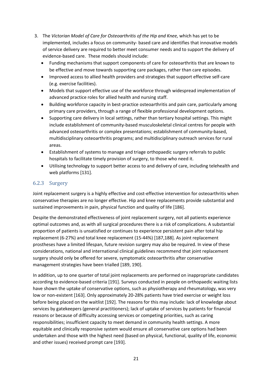- 3. The *Victorian Model of Care for Osteoarthritis of the Hip and Knee,* which has yet to be implemented, includes a focus on community- based care and identifies that innovative models of service delivery are required to better meet consumer needs and to support the delivery of evidence-based care. These models should include:
	- Funding mechanisms that support components of care for osteoarthritis that are known to be effective and move towards supporting care packages, rather than care episodes.
	- Improved access to allied health providers and strategies that support effective self-care (e.g. exercise facilities).
	- Models that support effective use of the workforce through widespread implementation of advanced practice roles for allied health and nursing staff.
	- Building workforce capacity in best-practice osteoarthritis and pain care, particularly among primary care providers, through a range of flexible professional development options.
	- Supporting care delivery in local settings, rather than tertiary hospital settings. This might include establishment of community-based musculoskeletal clinical centres for people with advanced osteoarthritis or complex presentations; establishment of community-based, multidisciplinary osteoarthritis programs; and multidisciplinary outreach services for rural areas.
	- Establishment of systems to manage and triage orthopaedic surgery referrals to public hospitals to facilitate timely provision of surgery, to those who need it.
	- Utilising technology to support better access to and delivery of care, including telehealth and web platforms [131].

#### <span id="page-20-0"></span>6.2.3 Surgery

Joint replacement surgery is a highly effective and cost-effective intervention for osteoarthritis when conservative therapies are no longer effective. Hip and knee replacements provide substantial and sustained improvements in pain, physical function and quality of life [186].

Despite the demonstrated effectiveness of joint replacement surgery, not all patients experience optimal outcomes and, as with all surgical procedures there is a risk of complications. A substantial proportion of patients is unsatisfied or continues to experience persistent pain after total hip replacement (6-27%) and total knee replacement (15-44%) [187,188]. As joint replacement prostheses have a limited lifespan, future revision surgery may also be required. In view of these considerations, national and international clinical guidelines recommend that joint replacement surgery should only be offered for severe, symptomatic osteoarthritis after conservative management strategies have been trialled [189, 190].

In addition, up to one quarter of total joint replacements are performed on inappropriate candidates according to evidence-based criteria [191]. Surveys conducted in people on orthopaedic waiting lists have shown the uptake of conservative options, such as physiotherapy and rheumatology, was very low or non-existent [163]. Only approximately 20-28% patients have tried exercise or weight loss before being placed on the waitlist [192]. The reasons for this may include: lack of knowledge about services by gatekeepers (general practitioners); lack of uptake of services by patients for financial reasons or because of difficulty accessing services or competing priorities, such as caring responsibilities; insufficient capacity to meet demand in community health settings. A more equitable and clinically responsive system would ensure all conservative care options had been undertaken and those with the highest need (based on physical, functional, quality of life, economic and other issues) received prompt care [193].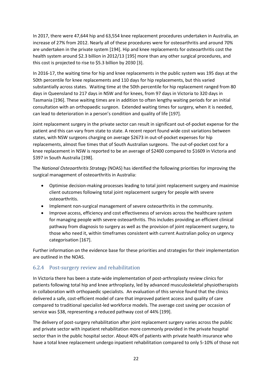In 2017, there were 47,644 hip and 63,554 knee replacement procedures undertaken in Australia, an increase of 27% from 2012. Nearly all of these procedures were for osteoarthritis and around 70% are undertaken in the private system [194]. Hip and knee replacements for osteoarthritis cost the health system around \$2.3 billion in 2012/13 [195] more than any other surgical procedures, and this cost is projected to rise to \$5.3 billion by 2030 [3].

In 2016-17, the waiting time for hip and knee replacements in the public system was 195 days at the 50th percentile for knee replacements and 110 days for hip replacements, but this varied substantially across states. Waiting time at the 50th percentile for hip replacement ranged from 80 days in Queensland to 217 days in NSW and for knees, from 97 days in Victoria to 320 days in Tasmania [196]. These waiting times are in addition to often lengthy waiting periods for an initial consultation with an orthopaedic surgeon. Extended waiting times for surgery, when it is needed, can lead to deterioration in a person's condition and quality of life [197].

Joint replacement surgery in the private sector can result in significant out-of-pocket expense for the patient and this can vary from state to state. A recent report found wide cost variations between states, with NSW surgeons charging on average \$2673 in out-of-pocket expenses for hip replacements, almost five times that of South Australian surgeons. The out-of-pocket cost for a knee replacement in NSW is reported to be an average of \$2400 compared to \$1609 in Victoria and \$397 in South Australia [198].

The *National Osteoarthritis Str*ategy (NOAS) has identified the following priorities for improving the surgical management of osteoarthritis in Australia:

- Optimise decision-making processes leading to total joint replacement surgery and maximise client outcomes following total joint replacement surgery for people with severe osteoarthritis.
- Implement non-surgical management of severe osteoarthritis in the community.
- Improve access, efficiency and cost effectiveness of services across the healthcare system for managing people with severe osteoarthritis. This includes providing an efficient clinical pathway from diagnosis to surgery as well as the provision of joint replacement surgery, to those who need it, within timeframes consistent with current Australian policy on urgency categorisation [167].

Further information on the evidence base for these priorities and strategies for their implementation are outlined in the NOAS.

#### <span id="page-21-0"></span>6.2.4 Post-surgery review and rehabilitation

In Victoria there has been a state-wide implementation of post-arthroplasty review clinics for patients following total hip and knee arthroplasty, led by advanced musculoskeletal physiotherapists in collaboration with orthopaedic specialists. An evaluation of this service found that the clinics delivered a safe, cost-efficient model of care that improved patient access and quality of care compared to traditional specialist-led workforce models. The average cost saving per occasion of service was \$38, representing a reduced pathway cost of 44% [199].

The delivery of post-surgery rehabilitation after joint replacement surgery varies across the public and private sector with inpatient rehabilitation more commonly provided in the private hospital sector than in the public hospital sector. About 40% of patients with private health insurance who have a total knee replacement undergo inpatient rehabilitation compared to only 5-10% of those not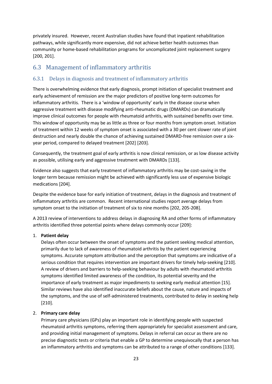privately insured. However, recent Australian studies have found that inpatient rehabilitation pathways, while significantly more expensive, did not achieve better health outcomes than community or home-based rehabilitation programs for uncomplicated joint replacement surgery [200, 201].

## <span id="page-22-0"></span>6.3 Management of inflammatory arthritis

#### <span id="page-22-1"></span>6.3.1 Delays in diagnosis and treatment of inflammatory arthritis

There is overwhelming evidence that early diagnosis, prompt initiation of specialist treatment and early achievement of remission are the major predictors of positive long-term outcomes for inflammatory arthritis. There is a 'window of opportunity' early in the disease course when aggressive treatment with disease modifying anti-rheumatic drugs (DMARDs) can dramatically improve clinical outcomes for people with rheumatoid arthritis, with sustained benefits over time. This window of opportunity may be as little as three or four months from symptom onset. Initiation of treatment within 12 weeks of symptom onset is associated with a 30 per cent slower rate of joint destruction and nearly double the chance of achieving sustained DMARD-free remission over a sixyear period, compared to delayed treatment [202] [203].

Consequently, the treatment goal of early arthritis is now clinical remission, or as low disease activity as possible, utilising early and aggressive treatment with DMARDs [133].

Evidence also suggests that early treatment of inflammatory arthritis may be cost-saving in the longer term because remission might be achieved with significantly less use of expensive biologic medications [204].

Despite the evidence base for early initiation of treatment, delays in the diagnosis and treatment of inflammatory arthritis are common. Recent international studies report average delays from symptom onset to the initiation of treatment of six to nine months [202, 205-208].

A 2013 review of interventions to address delays in diagnosing RA and other forms of inflammatory arthritis identified three potential points where delays commonly occur [209]:

#### 1. **Patient delay**

Delays often occur between the onset of symptoms and the patient seeking medical attention, primarily due to lack of awareness of rheumatoid arthritis by the patient experiencing symptoms. Accurate symptom attribution and the perception that symptoms are indicative of a serious condition that requires intervention are important drivers for timely help-seeking [210]. A review of drivers and barriers to help-seeking behaviour by adults with rheumatoid arthritis symptoms identified limited awareness of the condition, its potential severity and the importance of early treatment as major impediments to seeking early medical attention [15]. Similar reviews have also identified inaccurate beliefs about the cause, nature and impacts of the symptoms, and the use of self-administered treatments, contributed to delay in seeking help [210].

#### 2. **Primary care delay**

Primary care physicians (GPs) play an important role in identifying people with suspected rheumatoid arthritis symptoms, referring them appropriately for specialist assessment and care, and providing initial management of symptoms. Delays in referral can occur as there are no precise diagnostic tests or criteria that enable a GP to determine unequivocally that a person has an inflammatory arthritis and symptoms can be attributed to a range of other conditions [133].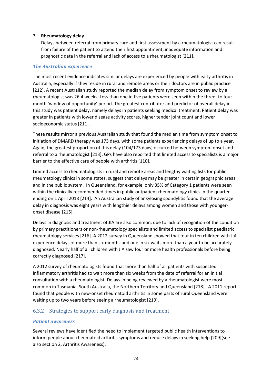#### 3. **Rheumatology delay**

Delays between referral from primary care and first assessment by a rheumatologist can result from failure of the patient to attend their first appointment, inadequate information and prognostic data in the referral and lack of access to a rheumatologist [211].

#### *The Australian experience*

The most recent evidence indicates similar delays are experienced by people with early arthritis in Australia, especially if they reside in rural and remote areas or their doctors are in public practice [212]. A recent Australian study reported the median delay from symptom onset to review by a rheumatologist was 26.4 weeks. Less than one in five patients were seen within the three- to fourmonth 'window of opportunity' period. The greatest contributor and predictor of overall delay in this study was patient delay, namely delays in patients seeking medical treatment. Patient delay was greater in patients with lower disease activity scores, higher tender joint count and lower socioeconomic status [211].

These results mirror a previous Australian study that found the median time from symptom onset to initiation of DMARD therapy was 173 days, with some patients experiencing delays of up to a year. Again, the greatest proportion of this delay (104/173 days) occurred between symptom onset and referral to a rheumatologist [213]. GPs have also reported that limited access to specialists is a major barrier to the effective care of people with arthritis [110].

Limited access to rheumatologists in rural and remote areas and lengthy waiting lists for public rheumatology clinics in some states, suggest that delays may be greater in certain geographic areas and in the public system. In Queensland, for example, only 35% of Category 1 patients were seen within the clinically recommended times in public outpatient rheumatology clinics in the quarter ending on 1 April 2018 [214]. An Australian study of ankylosing spondylitis found that the average delay in diagnosis was eight years with lengthier delays among women and those with youngeronset disease [215].

Delays in diagnosis and treatment of JIA are also common, due to lack of recognition of the condition by primary practitioners or non-rheumatology specialists and limited access to specialist paediatric rheumatology services [216]. A 2012 survey in Queensland showed that four in ten children with JIA experience delays of more than six months and one in six waits more than a year to be accurately diagnosed. Nearly half of all children with JIA saw four or more health professionals before being correctly diagnosed [217].

A 2012 survey of rheumatologists found that more than half of all patients with suspected inflammatory arthritis had to wait more than six weeks from the date of referral for an initial consultation with a rheumatologist. Delays in being reviewed by a rheumatologist were most common in Tasmania, South Australia, the Northern Territory and Queensland [218]. A 2011 report found that people with new-onset rheumatoid arthritis in some parts of rural Queensland were waiting up to two years before seeing a rheumatologist [219].

#### <span id="page-23-0"></span>6.3.2 Strategies to support early diagnosis and treatment

#### *Patient awareness*

Several reviews have identified the need to implement targeted public health interventions to inform people about rheumatoid arthritis symptoms and reduce delays in seeking help [209](see also section 2, Arthritis Awareness).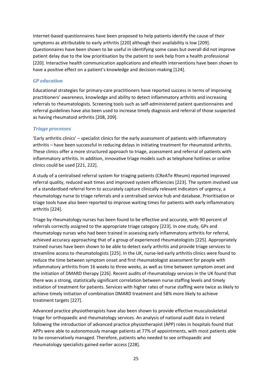Internet-based questionnaires have been proposed to help patients identify the cause of their symptoms as attributable to early arthritis [220] although their availability is low [209]. Questionnaires have been shown to be useful in identifying some cases but overall did not improve patient delay due to the low prioritisation by the patient to seek help from a health professional [220]. Interactive health communication applications and eHealth interventions have been shown to have a positive effect on a patient's knowledge and decision-making [124].

#### *GP education*

Educational strategies for primary-care practitioners have reported success in terms of improving practitioners' awareness, knowledge and ability to detect inflammatory arthritis and increasing referrals to rheumatologists. Screening tools such as self-administered patient questionnaires and referral guidelines have also been used to increase timely diagnosis and referral of those suspected as having rheumatoid arthritis [208, 209].

#### *Triage processes*

'Early arthritis clinics' – specialist clinics for the early assessment of patients with inflammatory arthritis – have been successful in reducing delays in initiating treatment for rheumatoid arthritis. These clinics offer a more structured approach to triage, assessment and referral of patients with inflammatory arthritis. In addition, innovative triage models such as telephone hotlines or online clinics could be used [221, 222].

A study of a centralised referral system for triaging patients (CReATe Rheum) reported improved referral quality, reduced wait times and improved system efficiencies [223]. The system involved use of a standardised referral form to accurately capture clinically relevant indicators of urgency, a rheumatology nurse to triage referrals and a centralised service hub and database. Prioritisation or triage tools have also been reported to improve waiting times for patients with early inflammatory arthritis [224].

Triage by rheumatology nurses has been found to be effective and accurate, with 90 percent of referrals correctly assigned to the appropriate triage category [223]. In one study, GPs and rheumatology nurses who had been trained in assessing early inflammatory arthritis for referral, achieved accuracy approaching that of a group of experienced rheumatologists [225]. Appropriately trained nurses have been shown to be able to detect early arthritis and provide triage services to streamline access to rheumatologists [225]. In the UK, nurse-led early arthritis clinics were found to reduce the time between symptom onset and first rheumatologist assessment for people with inflammatory arthritis from 16 weeks to three weeks, as well as time between symptom onset and the initiation of DMARD therapy [226]. Recent audits of rheumatology services in the UK found that there was a strong, statistically significant correlation between nurse staffing levels and timely initiation of treatment for patients. Services with higher rates of nurse staffing were twice as likely to achieve timely initiation of combination DMARD treatment and 58% more likely to achieve treatment targets [227].

Advanced practice physiotherapists have also been shown to provide effective musculoskeletal triage for orthopaedic and rheumatology services. An analysis of national audit data in Ireland following the introduction of advanced practice physiotherapist (APP) roles in hospitals found that APPs were able to autonomously manage patients at 77% of appointments, with most patients able to be conservatively managed. Therefore, patients who needed to see orthopaedic and rheumatology specialists gained earlier access [228].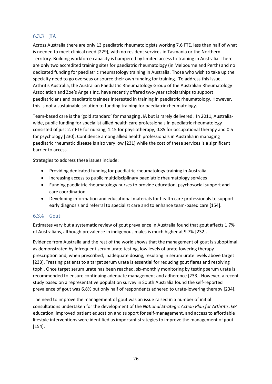#### <span id="page-25-0"></span>6.3.3 JIA

Across Australia there are only 13 paediatric rheumatologists working 7.6 FTE, less than half of what is needed to meet clinical need [229], with no resident services in Tasmania or the Northern Territory. Building workforce capacity is hampered by limited access to training in Australia. There are only two accredited training sites for paediatric rheumatology (in Melbourne and Perth) and no dedicated funding for paediatric rheumatology training in Australia. Those who wish to take up the specialty need to go overseas or source their own funding for training. To address this issue, Arthritis Australia, the Australian Paediatric Rheumatology Group of the Australian Rheumatology Association and Zoe's Angels Inc. have recently offered two-year scholarships to support paediatricians and paediatric trainees interested in training in paediatric rheumatology. However, this is not a sustainable solution to funding training for paediatric rheumatology.

Team-based care is the 'gold standard' for managing JIA but is rarely delivered. In 2011, Australiawide, public funding for specialist allied health care professionals in paediatric rheumatology consisted of just 2.7 FTE for nursing, 1.15 for physiotherapy, 0.85 for occupational therapy and 0.5 for psychology [230]. Confidence among allied health professionals in Australia in managing paediatric rheumatic disease is also very low [231] while the cost of these services is a significant barrier to access.

Strategies to address these issues include:

- Providing dedicated funding for paediatric rheumatology training in Australia
- Increasing access to public multidisciplinary paediatric rheumatology services
- Funding paediatric rheumatology nurses to provide education, psychosocial support and care coordination
- Developing information and educational materials for health care professionals to support early diagnosis and referral to specialist care and to enhance team-based care [154].

#### <span id="page-25-1"></span>6.3.4 Gout

Estimates vary but a systematic review of gout prevalence in Australia found that gout affects 1.7% of Australians, although prevalence in indigenous males is much higher at 9.7% [232].

Evidence from Australia and the rest of the world shows that the management of gout is suboptimal, as demonstrated by infrequent serum urate testing, low levels of urate-lowering therapy prescription and, when prescribed, inadequate dosing, resulting in serum urate levels above target [233]. Treating patients to a target serum urate is essential for reducing gout flares and resolving tophi. Once target serum urate has been reached, six-monthly monitoring by testing serum urate is recommended to ensure continuing adequate management and adherence [233]. However, a recent study based on a representative population survey in South Australia found the self-reported prevalence of gout was 6.8% but only half of respondents adhered to urate-lowering therapy [234].

The need to improve the management of gout was an issue raised in a number of initial consultations undertaken for the development of the *National Strategic Action Plan for Arthritis*. GP education, improved patient education and support for self-management, and access to affordable lifestyle interventions were identified as important strategies to improve the management of gout [154].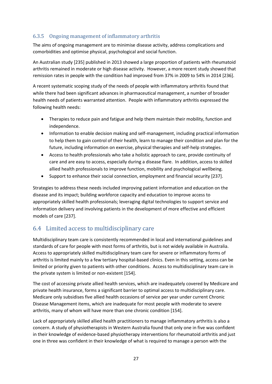## <span id="page-26-0"></span>6.3.5 Ongoing management of inflammatory arthritis

The aims of ongoing management are to minimise disease activity, address complications and comorbidities and optimise physical, psychological and social function.

An Australian study [235] published in 2013 showed a large proportion of patients with rheumatoid arthritis remained in moderate or high disease activity. However, a more recent study showed that remission rates in people with the condition had improved from 37% in 2009 to 54% in 2014 [236].

A recent systematic scoping study of the needs of people with inflammatory arthritis found that while there had been significant advances in pharmaceutical management, a number of broader health needs of patients warranted attention. People with inflammatory arthritis expressed the following health needs:

- Therapies to reduce pain and fatigue and help them maintain their mobility, function and independence.
- Information to enable decision making and self-management, including practical information to help them to gain control of their health, learn to manage their condition and plan for the future, including information on exercise, physical therapies and self-help strategies.
- Access to health professionals who take a holistic approach to care, provide continuity of care and are easy to access, especially during a disease flare. In addition, access to skilled allied health professionals to improve function, mobility and psychological wellbeing.
- Support to enhance their social connection, employment and financial security [237].

Strategies to address these needs included improving patient information and education on the disease and its impact; building workforce capacity and education to improve access to appropriately skilled health professionals; leveraging digital technologies to support service and information delivery and involving patients in the development of more effective and efficient models of care [237].

## <span id="page-26-1"></span>6.4 Limited access to multidisciplinary care

Multidisciplinary team care is consistently recommended in local and international guidelines and standards of care for people with most forms of arthritis, but is not widely available in Australia. Access to appropriately skilled multidisciplinary team care for severe or inflammatory forms of arthritis is limited mainly to a few tertiary hospital-based clinics. Even in this setting, access can be limited or priority given to patients with other conditions. Access to multidisciplinary team care in the private system is limited or non-existent [154].

The cost of accessing private allied health services, which are inadequately covered by Medicare and private health insurance, forms a significant barrier to optimal access to multidisciplinary care. Medicare only subsidises five allied health occasions of service per year under current Chronic Disease Management items, which are inadequate for most people with moderate to severe arthritis, many of whom will have more than one chronic condition [154].

Lack of appropriately skilled allied health practitioners to manage inflammatory arthritis is also a concern. A study of physiotherapists in Western Australia found that only one in five was confident in their knowledge of evidence-based physiotherapy interventions for rheumatoid arthritis and just one in three was confident in their knowledge of what is required to manage a person with the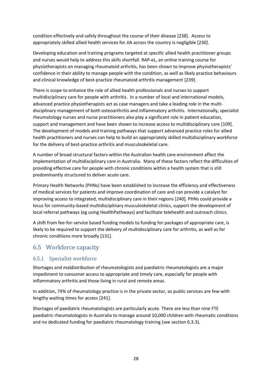condition effectively and safely throughout the course of their disease [238]. Access to appropriately skilled allied health services for JIA across the country is negligible [230].

Developing education and training programs targeted at specific allied health practitioner groups and nurses would help to address this skills shortfall. RAP-eL, an online training course for physiotherapists on managing rheumatoid arthritis, has been shown to improve physiotherapists' confidence in their ability to manage people with the condition, as well as likely practice behaviours and clinical knowledge of best-practice rheumatoid arthritis management [239].

There is scope to enhance the role of allied health professionals and nurses to support multidisciplinary care for people with arthritis. In a number of local and international models, advanced practice physiotherapists act as case managers and take a leading role in the multidisciplinary management of both osteoarthritis and inflammatory arthritis. Internationally, specialist rheumatology nurses and nurse practitioners also play a significant role in patient education, support and management and have been shown to increase access to multidisciplinary care [109]. The development of models and training pathways that support advanced practice roles for allied health practitioners and nurses can help to build an appropriately skilled multidisciplinary workforce for the delivery of best-practice arthritis and musculoskeletal care.

A number of broad structural factors within the Australian health care environment affect the implementation of multidisciplinary care in Australia. Many of these factors reflect the difficulties of providing effective care for people with chronic conditions within a health system that is still predominantly structured to deliver acute care.

Primary Health Networks (PHNs) have been established to increase the efficiency and effectiveness of medical services for patients and improve coordination of care and can provide a catalyst for improving access to integrated, multidisciplinary care in their regions [240]. PHNs could provide a locus for community-based multidisciplinary musculoskeletal clinics, support the development of local referral pathways (eg using HealthPathways) and facilitate telehealth and outreach clinics.

A shift from fee-for-service based funding models to funding for packages of appropriate care, is likely to be required to support the delivery of multidisciplinary care for arthritis, as well as for chronic conditions more broadly [131].

## <span id="page-27-0"></span>6.5 Workforce capacity

#### <span id="page-27-1"></span>6.5.1 Specialist workforce

Shortages and maldistribution of rheumatologists and paediatric rheumatologists are a major impediment to consumer access to appropriate and timely care, especially for people with inflammatory arthritis and those living in rural and remote areas.

In addition, 74% of rheumatology practice is in the private sector, so public services are few with lengthy waiting times for access [241].

Shortages of paediatric rheumatologists are particularly acute. There are less than nine FTE paediatric rheumatologists in Australia to manage around 10,000 children with rheumatic conditions and no dedicated funding for paediatric rheumatology training (see section 6.3.3).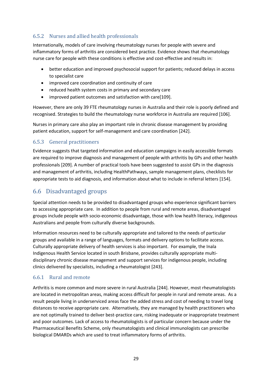## <span id="page-28-0"></span>6.5.2 Nurses and allied health professionals

Internationally, models of care involving rheumatology nurses for people with severe and inflammatory forms of arthritis are considered best practice. Evidence shows that rheumatology nurse care for people with these conditions is effective and cost-effective and results in:

- better education and improved psychosocial support for patients; reduced delays in access to specialist care
- improved care coordination and continuity of care
- reduced health system costs in primary and secondary care
- improved patient outcomes and satisfaction with care[109].

However, there are only 39 FTE rheumatology nurses in Australia and their role is poorly defined and recognised. Strategies to build the rheumatology nurse workforce in Australia are required [106].

Nurses in primary care also play an important role in chronic disease management by providing patient education, support for self-management and care coordination [242].

#### <span id="page-28-1"></span>6.5.3 General practitioners

Evidence suggests that targeted information and education campaigns in easily accessible formats are required to improve diagnosis and management of people with arthritis by GPs and other health professionals [209]. A number of practical tools have been suggested to assist GPs in the diagnosis and management of arthritis, including HealthPathways, sample management plans, checklists for appropriate tests to aid diagnosis, and information about what to include in referral letters [154].

## <span id="page-28-2"></span>6.6 Disadvantaged groups

Special attention needs to be provided to disadvantaged groups who experience significant barriers to accessing appropriate care. In addition to people from rural and remote areas, disadvantaged groups include people with socio-economic disadvantage, those with low health literacy, indigenous Australians and people from culturally diverse backgrounds.

Information resources need to be culturally appropriate and tailored to the needs of particular groups and available in a range of languages, formats and delivery options to facilitate access. Culturally appropriate delivery of health services is also important. For example, the Inala Indigenous Health Service located in south Brisbane, provides culturally appropriate multidisciplinary chronic disease management and support services for indigenous people, including clinics delivered by specialists, including a rheumatologist [243].

#### <span id="page-28-3"></span>6.6.1 Rural and remote

Arthritis is more common and more severe in rural Australia [244]. However, most rheumatologists are located in metropolitan areas, making access difficult for people in rural and remote areas. As a result people living in underserviced areas face the added stress and cost of needing to travel long distances to receive appropriate care. Alternatively, they are managed by health practitioners who are not optimally trained to deliver best-practice care, risking inadequate or inappropriate treatment and poor outcomes. Lack of access to rheumatologists is of particular concern because under the Pharmaceutical Benefits Scheme, only rheumatologists and clinical immunologists can prescribe biological DMARDs which are used to treat inflammatory forms of arthritis.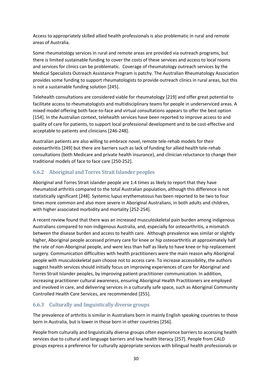Access to appropriately skilled allied health professionals is also problematic in rural and remote areas of Australia.

Some rheumatology services in rural and remote areas are provided via outreach programs, but there is limited sustainable funding to cover the costs of these services and access to local rooms and services for clinics can be problematic. Coverage of rheumatology outreach services by the Medical Specialists Outreach Assistance Program is patchy. The Australian Rheumatology Association provides some funding to support rheumatologists to provide outreach clinics in rural areas, but this is not a sustainable funding solution [245].

Telehealth consultations are considered viable for rheumatology [219] and offer great potential to facilitate access to rheumatologists and multidisciplinary teams for people in underserviced areas. A mixed model offering both face-to-face and virtual consultations appears to offer the best option [154]. In the Australian context, telehealth services have been reported to improve access to and quality of care for patients, to support local professional development and to be cost-effective and acceptable to patients and clinicians [246-248].

Australian patients are also willing to embrace novel, remote tele-rehab models for their osteoarthritis [249] but there are barriers such as lack of funding for allied health tele-rehab consultations (both Medicare and private health insurance), and clinician reluctance to change their traditional models of face to face care [250-252].

#### <span id="page-29-0"></span>6.6.2 Aboriginal and Torres Strait Islander peoples

Aboriginal and Torres Strait islander people are 1.4 times as likely to report that they have rheumatoid arthritis compared to the total Australian population, although this difference is not statistically significant [248]. Systemic lupus erythematosus has been reported to be two to four times more common and also more severe in Aboriginal Australians, in both adults and children, with higher associated morbidity and mortality [252-254].

A recent review found that there was an increased musculoskeletal pain burden among indigenous Australians compared to non-indigenous Australia, and, especially for osteoarthritis, a mismatch between the disease burden and access to health care. Although prevalence was similar or slightly higher, Aboriginal people accessed primary care for knee or hip osteoarthritis at approximately half the rate of non‐Aboriginal people, and were less than half as likely to have knee or hip replacement surgery. Communication difficulties with health practitioners were the main reason why Aboriginal people with musculoskeletal pain choose not to access care. To increase accessibility, the authors suggest health services should initially focus on improving experiences of care for Aboriginal and Torres Strait Islander peoples, by improving patient-practitioner communication. In addition, increasing practitioner cultural awareness, ensuring Aboriginal Health Practitioners are employed and involved in care, and delivering services in a culturally safe space, such as Aboriginal Community Controlled Health Care Services, are recommended [255].

#### <span id="page-29-1"></span>6.6.3 Culturally and linguistically diverse groups

The prevalence of arthritis is similar in Australians born in mainly English speaking countries to those born in Australia, but is lower in those born in other countries [256].

People from culturally and linguistically diverse groups often experience barriers to accessing health services due to cultural and language barriers and low health literacy [257]. People from CALD groups express a preference for culturally appropriate services with bilingual health professionals or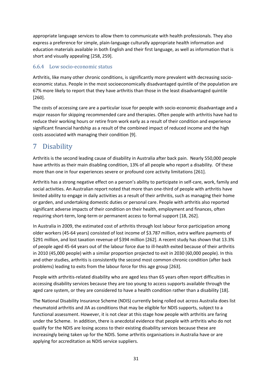appropriate language services to allow them to communicate with health professionals. They also express a preference for simple, plain-language culturally appropriate health information and education materials available in both English and their first language, as well as information that is short and visually appealing [258, 259].

#### <span id="page-30-0"></span>6.6.4 Low socio-economic status

Arthritis, like many other chronic conditions, is significantly more prevalent with decreasing socioeconomic status. People in the most socioeconomically disadvantaged quintile of the population are 67% more likely to report that they have arthritis than those in the least disadvantaged quintile [260].

The costs of accessing care are a particular issue for people with socio-economic disadvantage and a major reason for skipping recommended care and therapies. Often people with arthritis have had to reduce their working hours or retire from work early as a result of their condition and experience significant financial hardship as a result of the combined impact of reduced income and the high costs associated with managing their condition [9].

# <span id="page-30-1"></span>7 Disability

Arthritis is the second leading cause of disability in Australia after back pain. Nearly 550,000 people have arthritis as their main disabling condition, 13% of all people who report a disability. Of these more than one in four experiences severe or profound core activity limitations [261].

Arthritis has a strong negative effect on a person's ability to participate in self-care, work, family and social activities. An Australian report noted that more than one-third of people with arthritis have limited ability to engage in daily activities as a result of their arthritis, such as managing their home or garden, and undertaking domestic duties or personal care. People with arthritis also reported significant adverse impacts of their condition on their health, employment and finances, often requiring short-term, long-term or permanent access to formal support [18, 262].

In Australia in 2009, the estimated cost of arthritis through lost labour force participation among older workers (45-64 years) consisted of lost income of \$3.787 million, extra welfare payments of \$291 million, and lost taxation revenue of \$394 million [262]. A recent study has shown that 13.3% of people aged 45-64 years out of the labour force due to ill-health exited because of their arthritis in 2010 (45,000 people) with a similar proportion projected to exit in 2030 (60,000 people). In this and other studies, arthritis is consistently the second most common chronic condition (after back problems) leading to exits from the labour force for this age group [263].

People with arthritis-related disability who are aged less than 65 years often report difficulties in accessing disability services because they are too young to access supports available through the aged care system, or they are considered to have a health condition rather than a disability [18].

The National Disability Insurance Scheme (NDIS) currently being rolled out across Australia does list rheumatoid arthritis and JIA as conditions that may be eligible for NDIS supports, subject to a functional assessment. However, it is not clear at this stage how people with arthritis are faring under the Scheme. In addition, there is anecdotal evidence that people with arthritis who do not qualify for the NDIS are losing access to their existing disability services because these are increasingly being taken up for the NDIS. Some arthritis organisations in Australia have or are applying for accreditation as NDIS service suppliers.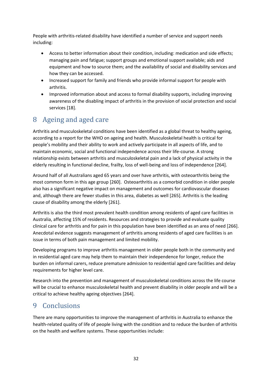People with arthritis-related disability have identified a number of service and support needs including:

- Access to better information about their condition, including: medication and side effects; managing pain and fatigue; support groups and emotional support available; aids and equipment and how to source them; and the availability of social and disability services and how they can be accessed.
- Increased support for family and friends who provide informal support for people with arthritis.
- Improved information about and access to formal disability supports, including improving awareness of the disabling impact of arthritis in the provision of social protection and social services [18].

# <span id="page-31-0"></span>8 Ageing and aged care

Arthritis and musculoskeletal conditions have been identified as a global threat to healthy ageing, according to a report for the WHO on ageing and health. Musculoskeletal health is critical for people's mobility and their ability to work and actively participate in all aspects of life, and to maintain economic, social and functional independence across their life-course. A strong relationship exists between arthritis and musculoskeletal pain and a lack of physical activity in the elderly resulting in functional decline, frailty, loss of well-being and loss of independence [264].

Around half of all Australians aged 65 years and over have arthritis, with osteoarthritis being the most common form in this age group [260]. Osteoarthritis as a comorbid condition in older people also has a significant negative impact on management and outcomes for cardiovascular diseases and, although there are fewer studies in this area, diabetes as well [265]. Arthritis is the leading cause of disability among the elderly [261].

Arthritis is also the third most prevalent health condition among residents of aged care facilities in Australia, affecting 15% of residents. Resources and strategies to provide and evaluate quality clinical care for arthritis and for pain in this population have been identified as an area of need [266]. Anecdotal evidence suggests management of arthritis among residents of aged care facilities is an issue in terms of both pain management and limited mobility.

Developing programs to improve arthritis management in older people both in the community and in residential aged care may help them to maintain their independence for longer, reduce the burden on informal carers, reduce premature admission to residential aged care facilities and delay requirements for higher level care.

Research into the prevention and management of musculoskeletal conditions across the life course will be crucial to enhance musculoskeletal health and prevent disability in older people and will be a critical to achieve healthy ageing objectives [264].

# <span id="page-31-1"></span>9 Conclusions

There are many opportunities to improve the management of arthritis in Australia to enhance the health-related quality of life of people living with the condition and to reduce the burden of arthritis on the health and welfare systems. These opportunities include: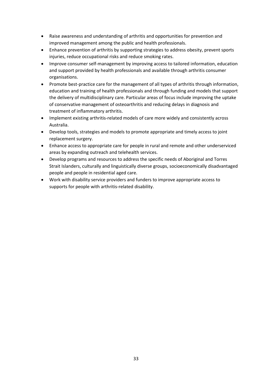- Raise awareness and understanding of arthritis and opportunities for prevention and improved management among the public and health professionals.
- Enhance prevention of arthritis by supporting strategies to address obesity, prevent sports injuries, reduce occupational risks and reduce smoking rates.
- Improve consumer self-management by improving access to tailored information, education and support provided by health professionals and available through arthritis consumer organisations.
- Promote best-practice care for the management of all types of arthritis through information, education and training of health professionals and through funding and models that support the delivery of multidisciplinary care. Particular areas of focus include improving the uptake of conservative management of osteoarthritis and reducing delays in diagnosis and treatment of inflammatory arthritis.
- Implement existing arthritis-related models of care more widely and consistently across Australia.
- Develop tools, strategies and models to promote appropriate and timely access to joint replacement surgery.
- Enhance access to appropriate care for people in rural and remote and other underserviced areas by expanding outreach and telehealth services.
- Develop programs and resources to address the specific needs of Aboriginal and Torres Strait Islanders, culturally and linguistically diverse groups, socioeconomically disadvantaged people and people in residential aged care.
- Work with disability service providers and funders to improve appropriate access to supports for people with arthritis-related disability.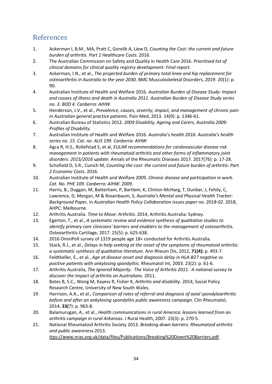## <span id="page-33-0"></span>References

- 1. Ackerman I, B.M., MA, Pratt C, Gorelik A, Liew D, *Counting the Cost: the current and future burden of arthritis. Part 1 Healthcare Costs*. 2016.
- 2. The Australian Commission on Safety and Quality in Health Care 2016*. Prioritised list of clinical domains for clinical quality registry development: Final report.*
- 3. Ackerman, I.N., et al., *The projected burden of primary total knee and hip replacement for osteoarthritis in Australia to the year 2030.* BMC Musculoskeletal Disorders, 2019. 20(1): p. 90.
- 4. Australian Institute of Health and Welfare 2016*. Australian Burden of Disease Study: Impact and causes of illness and death in Australia 2011. Australian Burden of Disease Study series no. 3. BOD 4. Canberra: AIHW.*
- 5. Henderson, J.V., et al., *Prevalence, causes, severity, impact, and management of chronic pain in Australian general practice patients.* Pain Med, 2013. 14(9): p. 1346-61.
- 6. Australian Bureau of Statistics 2012. *2009 Disability, Ageing and Carers, Australia 2009: Profiles of Disability*.
- 7. Australian Institute of Health and Welfare 2016*. Australia's health 2016. Australia's health series no. 15. Cat. no. AUS 199. Canberra: AIHW*
- 8. Agca R, H.S., Rollefstad S, et al, *EULAR recommendations for cardiovascular disease risk management in patients with rheumatoid arthritis and other forms of inflammatory joint disorders: 2015/2016 update.* Annals of the Rheumatic Diseases 2017. 2017(76): p. 17-28.
- 9. Schofield D, S.R., Cunich M, *Counting the cost: the current and future burden of arthritis: Part 2 Economic Costs.* 2016.
- 10. Australian Institute of Health and Welfare 2009*. Chronic disease and participation in work. Cat. No. PHE 109. Canberra: AIHW*. 2009.
- 11. Harris, B., Duggan, M, Batterham, P, Bartlem, K, Clinton-McHarg, T, Dunbar, J, Fehily, C, Lawrence, D, Morgan, M & Rosenbaum, S, *Australia's Mental and Physical Health Tracker: Background Paper*, in *Australian Health Policy Collaboration issues paper no. 2018-02*. 2018, AHPC: Melbourne.
- 12. Arthritis Australia. *Time to Move: Arthritis*. 2014, Arthritis Australia: Sydney.
- 13. Egerton, T., et al., *A systematic review and evidence synthesis of qualitative studies to identify primary care clinicians' barriers and enablers to the management of osteoarthritis.* Osteoarthritis Cartilage, 2017. 25(5): p. 625-638.
- 14. 2016 OmniPoll survey of 1319 people age 18+ conducted for Arthritis Australia.
- 15. Stack, R.J., et al., *Delays in help seeking at the onset of the symptoms of rheumatoid arthritis: a systematic synthesis of qualitative literature.* Ann Rheum Dis, 2012**. 71(4):** p. 493-7.
- 16. Feldtkeller, E., et al., *Age at disease onset and diagnosis delay in HLA-B27 negative vs. positive patients with ankylosing spondylitis.* Rheumatol Int, 2003. 23(2): p. 61-6.
- 17. Arthritis Australia, *The Ignored Majority. The Voice of Arthritis 2011. A national survey to discover the impact of arthritis on Australians.* 2011.
- 18. Bates B, S.C., Wong M, Kayess R, Fisher K, *Arthritis and disability*. 2014, Social Policy Research Centre, University of New South Wales.
- 19. Harrison, A.A., et al., *Comparison of rates of referral and diagnosis of axial spondyloarthritis before and after an ankylosing spondylitis public awareness campaign.* Clin Rheumatol, 2014**. 33(**7): p. 963-8.
- 20. Balamurugan, A., et al., *Health communications in rural America: lessons learned from an arthritis campaign in rural Arkansas.* J Rural Health, 2007. 23(3): p. 270-5.
- 21. National Rheumatoid Arthritis Society 2013*. Breaking down barriers: Rheumatoid arthritis and public awareness.*2013.

ttps://www.nras.org.uk/data/files/Publications/Breaking%20Down%20Barriers.pdf.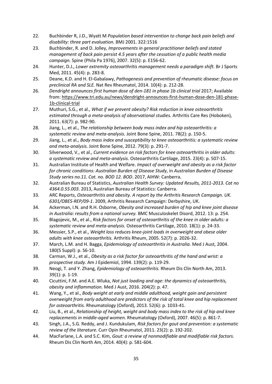- 22. Buchbinder R, J.D., Wyatt M *Population based intervention to change back pain beliefs and disability: three part evaluation.* BMJ 2001. 322:1516
- 23. Buchbinder, R. and D. Jolley, *Improvements in general practitioner beliefs and stated management of back pain persist 4.5 years after the cessation of a public health media campaign.* Spine (Phila Pa 1976), 2007. 32(5): p. E156-62.
- 24. Hunter, D.J., *Lower extremity osteoarthritis management needs a paradigm shift.* Br J Sports Med, 2011. 45(4): p. 283-8.
- 25. Deane, K.D. and H. El-Gabalawy, *Pathogenesis and prevention of rheumatic disease: focus on preclinical RA and SLE.* Nat Rev Rheumatol, 2014. 10(4): p. 212-28.
- 26. *Dendright announces first human dose of den-181 in phase 1b clinical trial 2017; Available* from: https://www.tri.edu.au/news/dendright-announces-first-human-dose-den-181-phase-1b-clinical-trial
- 27. Muthuri, S.G., et al., *What if we prevent obesity? Risk reduction in knee osteoarthritis estimated through a meta-analysis of observational studies.* Arthritis Care Res (Hoboken), 2011. 63(7): p. 982-90.
- 28. Jiang, L., et al., *The relationship between body mass index and hip osteoarthritis: a systematic review and meta-analysis.* Joint Bone Spine, 2011. 78(2): p. 150-5.
- 29. Jiang, L., et al., *Body mass index and susceptibility to knee osteoarthritis: a systematic review and meta-analysis.* Joint Bone Spine, 2012. 79(3): p. 291-7.
- 30. Silverwood, V., et al., *Current evidence on risk factors for knee osteoarthritis in older adults: a systematic review and meta-analysis.* Osteoarthritis Cartilage, 2015. 23(4): p. 507-15.
- 31. Australian Institute of Health and Welfare. *Impact of overweight and obesity as a risk factor for chronic conditions: Australian Burden of Disease Study*, in *Australian Burden of Disease Study series no.11. Cat. no. BOD 12. BOD*. 2017, AIHW: Canberra.
- 32. Australian Bureau of Statistics, *Australian Health Survey: Updated Results, 2011-2013. Cat no 4364.0.55.003*. 2013, Australian Bureau of Statistics: Canberra.
- 33. ARC Reports, *Osteoarthritis and obesity. A report by the Arthritis Research Campaign. UK. 6301/OBES-REP/09-1*. 2009, Arthritis Research Campaign: Derbyshire, UK.
- 34. Ackerman, I.N. and R.H. Osborne, *Obesity and increased burden of hip and knee joint disease in Australia: results from a national survey.* BMC Musculoskelet Disord, 2012. 13: p. 254.
- 35. Blagojevic, M., et al., *Risk factors for onset of osteoarthritis of the knee in older adults: a systematic review and meta-analysis.* Osteoarthritis Cartilage, 2010. 18(1): p. 24-33.
- 36. Messier, S.P., et al., *Weight loss reduces knee-joint loads in overweight and obese older adults with knee osteoarthritis.* Arthritis Rheum, 2005. 52(7): p. 2026-32.
- 37. March, L.M. and H. Bagga, *Epidemiology of osteoarthritis in Australia.* Med J Aust, 2004. 180(5 Suppl): p. S6-10.
- 38. Carman, W.J., et al., *Obesity as a risk factor for osteoarthritis of the hand and wrist: a prospective study.* Am J Epidemiol, 1994. 139(2): p. 119-29.
- 39. Neogi, T. and Y. Zhang, *Epidemiology of osteoarthritis.* Rheum Dis Clin North Am, 2013. 39(1): p. 1-19.
- 40. Cicuttini, F.M. and A.E. Wluka, *Not just loading and age: the dynamics of osteoarthritis, obesity and inflammation.* Med J Aust, 2016. 204(2): p. 47.
- 41. Wang, Y., et al., *Body weight at early and middle adulthood, weight gain and persistent overweight from early adulthood are predictors of the risk of total knee and hip replacement for osteoarthritis.* Rheumatology (Oxford), 2013. 52(6): p. 1033-41.
- 42. Liu, B., et al., *Relationship of height, weight and body mass index to the risk of hip and knee replacements in middle-aged women.* Rheumatology (Oxford), 2007. 46(5): p. 861-7.
- 43. Singh, J.A., S.G. Reddy, and J. Kundukulam, *Risk factors for gout and prevention: a systematic review of the literature.* Curr Opin Rheumatol, 2011. 23(2): p. 192-202.
- 44. MacFarlane, L.A. and S.C. Kim, *Gout: a review of nonmodifiable and modifiable risk factors.* Rheum Dis Clin North Am, 2014. 40(4): p. 581-604.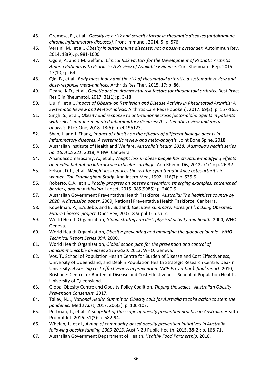- 45. Gremese, E., et al., *Obesity as a risk and severity factor in rheumatic diseases (autoimmune chronic inflammatory diseases).* Front Immunol, 2014. 5: p. 576.
- 46. Versini, M., et al., *Obesity in autoimmune diseases: not a passive bystander.* Autoimmun Rev, 2014. 13(9): p. 981-1000.
- 47. Ogdie, A. and J.M. Gelfand, *Clinical Risk Factors for the Development of Psoriatic Arthritis Among Patients with Psoriasis: A Review of Available Evidence.* Curr Rheumatol Rep, 2015. 17(10): p. 64.
- 48. Qin, B., et al., *Body mass index and the risk of rheumatoid arthritis: a systematic review and dose-response meta-analysis.* Arthritis Res Ther, 2015. 17: p. 86.
- 49. Deane, K.D., et al., *Genetic and environmental risk factors for rheumatoid arthritis.* Best Pract Res Clin Rheumatol, 2017. 31(1): p. 3-18.
- 50. Liu, Y., et al., *Impact of Obesity on Remission and Disease Activity in Rheumatoid Arthritis: A Systematic Review and Meta-Analysis.* Arthritis Care Res (Hoboken), 2017. 69(2): p. 157-165.
- 51. Singh, S., et al., *Obesity and response to anti-tumor necrosis factor-alpha agents in patients with select immune-mediated inflammatory diseases: A systematic review and metaanalysis.* PLoS One, 2018. 13(5): p. e0195123.
- 52. Shan, J. and J. Zhang, *Impact of obesity on the efficacy of different biologic agents in inflammatory diseases: A systematic review and meta-analysis.* Joint Bone Spine, 2018.
- 53. Australian Institute of Health and Welfare, *Australia's health 2018. Australia's health series no. 16. AUS 221.* 2018, AIHW: Canberra.
- 54. Anandacoomarasamy, A., et al., *Weight loss in obese people has structure-modifying effects on medial but not on lateral knee articular cartilage.* Ann Rheum Dis, 2012. 71(1): p. 26-32.
- 55. Felson, D.T., et al., *Weight loss reduces the risk for symptomatic knee osteoarthritis in women. The Framingham Study.* Ann Intern Med, 1992. 116(7): p. 535-9.
- 56. Roberto, C.A., et al., *Patchy progress on obesity prevention: emerging examples, entrenched barriers, and new thinking.* Lancet, 2015. 385(9985): p. 2400-9.
- 57. Australian Government Preventative Health Taskforce, *Australia: The healthiest country by 2020. A discussion paper*. 2009, National Preventative Health Taskforce: Canberra.
- 58. Kopelman, P., S.A. Jebb, and B. Butland, *Executive summary: Foresight 'Tackling Obesities: Future Choices' project.* Obes Rev, 2007. 8 Suppl 1: p. vi-ix.
- 59. World Health Organization, *Global strategy on diet, physical activity and health*. 2004, WHO: Geneva.
- 60. World Health Organization, *Obesity: preventing and managing the global epidemic. WHO Technical Report Series 894*. 2000.
- 61. World Health Organization, *Global action plan for the prevention and control of noncummunicable diseases 2013-2020*. 2013, WHO: Geneva.
- 62. Vos, T., School of Population Health Centre for Burden of Disease and Cost Effectiveness, University of Queensland, and Deakin Population Health Strategic Research Centre, Deakin University. *Assessing cost-effectiveness in prevention: (ACE-Prevention): final report*. 2010, Brisbane: Centre for Burden of Disease and Cost Effectiveness, School of Population Health, University of Queensland.
- 63. Global Obesity Centre and Obesity Policy Coalition, *Tipping the scales. Australian Obesity Prevention Consensus.* 2017.
- 64. Talley, N.J., *National Health Summit on Obesity calls for Australia to take action to stem the pandemic.* Med J Aust, 2017. 206(3): p. 106-107.
- 65. Pettman, T., et al., *A snapshot of the scope of obesity prevention practice in Australia.* Health Promot Int, 2016. 31(3): p. 582-94.
- 66. Whelan, J., et al., *A map of community-based obesity prevention initiatives in Australia following obesity funding 2009-2013.* Aust N Z J Public Health, 2015. **39**(2): p. 168-71.
- 67. Australian Government Department of Health, *Healthy Food Partnership*. 2018.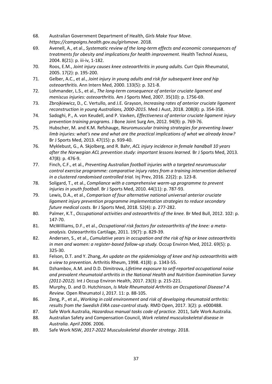- 68. Australian Government Department of Health, *Girls Make Your Move. https://campaigns.health.gov.au/girlsmove*. 2018.
- 69. Avenell, A., et al., *Systematic review of the long-term effects and economic consequences of treatments for obesity and implications for health improvement.* Health Technol Assess, 2004. 8(21): p. iii-iv, 1-182.
- 70. Roos, E.M., *Joint injury causes knee osteoarthritis in young adults.* Curr Opin Rheumatol, 2005. 17(2): p. 195-200.
- 71. Gelber, A.C., et al., *Joint injury in young adults and risk for subsequent knee and hip osteoarthritis.* Ann Intern Med, 2000. 133(5): p. 321-8.
- 72. Lohmander, L.S., et al., *The long-term consequence of anterior cruciate ligament and meniscus injuries: osteoarthritis.* Am J Sports Med, 2007. 35(10): p. 1756-69.
- 73. Zbrojkiewicz, D., C. Vertullo, and J.E. Grayson, *Increasing rates of anterior cruciate ligament reconstruction in young Australians, 2000-2015.* Med J Aust, 2018. 208(8): p. 354-358.
- 74. Sadoghi, P., A. von Keudell, and P. Vavken, *Effectiveness of anterior cruciate ligament injury prevention training programs.* J Bone Joint Surg Am, 2012. 94(9): p. 769-76.
- 75. Hubscher, M. and K.M. Refshauge, *Neuromuscular training strategies for preventing lower limb injuries: what's new and what are the practical implications of what we already know?* Br J Sports Med, 2013. 47(15): p. 939-40.
- 76. Myklebust, G., A. Skjolberg, and R. Bahr, *ACL injury incidence in female handball 10 years after the Norwegian ACL prevention study: important lessons learned.* Br J Sports Med, 2013. 47(8): p. 476-9.
- 77. Finch, C.F., et al., *Preventing Australian football injuries with a targeted neuromuscular control exercise programme: comparative injury rates from a training intervention delivered in a clustered randomised controlled trial.* Inj Prev, 2016. 22(2): p. 123-8.
- 78. Soligard, T., et al., *Compliance with a comprehensive warm-up programme to prevent injuries in youth football.* Br J Sports Med, 2010. 44(11): p. 787-93.
- 79. Lewis, D.A., et al., *Comparison of four alternative national universal anterior cruciate ligament injury prevention programme implementation strategies to reduce secondary future medical costs.* Br J Sports Med, 2018. 52(4): p. 277-282.
- 80. Palmer, K.T., *Occupational activities and osteoarthritis of the knee.* Br Med Bull, 2012. 102: p. 147-70.
- 81. McWilliams, D.F., et al., *Occupational risk factors for osteoarthritis of the knee: a metaanalysis.* Osteoarthritis Cartilage, 2011. 19(7): p. 829-39.
- 82. Andersen, S., et al., *Cumulative years in occupation and the risk of hip or knee osteoarthritis in men and women: a register-based follow-up study.* Occup Environ Med, 2012. 69(5): p. 325-30.
- 83. Felson, D.T. and Y. Zhang, *An update on the epidemiology of knee and hip osteoarthritis with a view to prevention.* Arthritis Rheum, 1998. 41(8): p. 1343-55.
- 84. Dzhambov, A.M. and D.D. Dimitrova, *Lifetime exposure to self-reported occupational noise and prevalent rheumatoid arthritis in the National Health and Nutrition Examination Survey (2011-2012).* Int J Occup Environ Health, 2017. 23(3): p. 215-221.
- 85. Murphy, D. and D. Hutchinson, *Is Male Rheumatoid Arthritis an Occupational Disease? A Review.* Open Rheumatol J, 2017. 11: p. 88-105.
- 86. Zeng, P., et al., *Working in cold environment and risk of developing rheumatoid arthritis: results from the Swedish EIRA case-control study.* RMD Open, 2017. 3(2): p. e000488.
- 87. Safe Work Australia, *Hazardous manual tasks code of practice*. 2011, Safe Work Australia.
- 88. Australian Safety and Compensation Council, *Work related musculoskeletal disease in Australia. April 2006.* 2006.
- 89. Safe Work NSW, *2017-2022 Musculoskeletal disorder strategy*. 2018.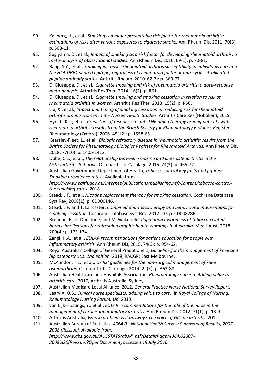- 90. Kallberg, H., et al., *Smoking is a major preventable risk factor for rheumatoid arthritis: estimations of risks after various exposures to cigarette smoke.* Ann Rheum Dis, 2011. 70(3): p. 508-11.
- 91. Sugiyama, D., et al., *Impact of smoking as a risk factor for developing rheumatoid arthritis: a meta-analysis of observational studies.* Ann Rheum Dis, 2010. 69(1): p. 70-81.
- 92. Bang, S.Y., et al., *Smoking increases rheumatoid arthritis susceptibility in individuals carrying the HLA-DRB1 shared epitope, regardless of rheumatoid factor or anti-cyclic citrullinated peptide antibody status.* Arthritis Rheum, 2010. 62(2): p. 369-77.
- 93. Di Giuseppe, D., et al., *Cigarette smoking and risk of rheumatoid arthritis: a dose-response meta-analysis.* Arthritis Res Ther, 2014. 16(2): p. R61.
- 94. Di Giuseppe, D., et al., *Cigarette smoking and smoking cessation in relation to risk of rheumatoid arthritis in women.* Arthritis Res Ther, 2013. 15(2): p. R56.
- 95. Liu, X., et al., *Impact and timing of smoking cessation on reducing risk for rheumatoid arthritis among women in the Nurses' Health Studies.* Arthritis Care Res (Hoboken), 2019.
- 96. Hyrich, K.L., et al., *Predictors of response to anti-TNF-alpha therapy among patients with rheumatoid arthritis: results from the British Society for Rheumatology Biologics Register.* Rheumatology (Oxford), 2006. 45(12): p. 1558-65.
- 97. Kearsley-Fleet, L., et al., *Biologic refractory disease in rheumatoid arthritis: results from the British Society for Rheumatology Biologics Register for Rheumatoid Arthritis.* Ann Rheum Dis, 2018. 77(10): p. 1405-1412.
- 98. Dube, C.E., et al., *The relationship between smoking and knee osteoarthritis in the Osteoarthritis Initiative.* Osteoarthritis Cartilage, 2016. 24(3): p. 465-72.
- 99. Australian Government Department of Health, *Tobacco control key facts and figures: Smoking prevalence rates.* Available from *http://www.health.gov.au/internet/publications/publishing.nsf/Content/tobacco-controltoc~smoking-rates*. 2018.
- 100. Stead, L.F., et al., *Nicotine replacement therapy for smoking cessation.* Cochrane Database Syst Rev, 2008(1): p. CD000146.
- 101. Stead, L.F. and T. Lancaster, *Combined pharmacotherapy and behavioural interventions for smoking cessation.* Cochrane Database Syst Rev, 2012. 10: p. CD008286.
- 102. Brennan, E., K. Dunstone, and M. Wakefield, *Population awareness of tobacco-related harms: implications for refreshing graphic health warnings in Australia.* Med J Aust, 2018. 209(4): p. 173-174.
- 103. Zangi, H.A., et al., *EULAR recommendations for patient education for people with inflammatory arthritis.* Ann Rheum Dis, 2015. 74(6): p. 954-62.
- 104. Royal Australian College of General Practitioners, *Guideline for the management of knee and hip osteoarthritis. 2nd edition.* 2018, RACGP: East Melbourne.
- 105. McAlindon, T.E., et al., *OARSI guidelines for the non-surgical management of knee osteoarthritis.* Osteoarthritis Cartilage, 2014. 22(3): p. 363-88.
- 106. Australian Healthcare and Hospitals Association, *Rheumatology nursing: Adding value to arthritis care*. 2017, Arthritis Australia: Sydney.
- 107. Australian Medicare Local Alliance, 2012*. General Practice Nurse National Survey Report*.
- 108. Leary A, O.S., *Clinical nurse specialists: adding value to care.*, in *Royal College of Nursing, Rheumatology Nursing Forum, UK*. 2010.
- 109. van Eijk-Hustings, Y., et al., *EULAR recommendations for the role of the nurse in the management of chronic inflammatory arthritis.* Ann Rheum Dis, 2012. 71(1): p. 13-9.
- 110. Arthritis Australia, *Whose problem is it anyway? The voice of GPs on arthritis*. 2012.
- 111. Australian Bureau of Statistics*. 4364.0 - National Health Survey: Summary of Results, 2007– 2008 (Reissue). Available from: http://www.abs.gov.au/AUSSTATS/abs@.nsf/DetailsPage/4364.02007- 2008%20(Reissue)?OpenDocument; accessed 19 July 2016.*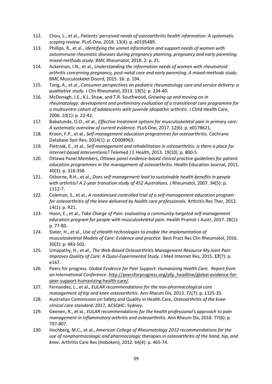- 112. Chou, L., et al., *Patients' perceived needs of osteoarthritis health information: A systematic scoping review.* PLoS One, 2018. 13(4): p. e0195489.
- 113. Phillips, R., et al., *Identifying the unmet information and support needs of women with autoimmune rheumatic diseases during pregnancy planning, pregnancy and early parenting: mixed-methods study.* BMC Rheumatol, 2018. 2: p. 21.
- 114. Ackerman, I.N., et al., *Understanding the information needs of women with rheumatoid arthritis concerning pregnancy, post-natal care and early parenting: A mixed-methods study.* BMC Musculoskelet Disord, 2015. 16: p. 194.
- 115. Tong, A., et al., *Consumer perspectives on pediatric rheumatology care and service delivery: a qualitative study.* J Clin Rheumatol, 2013. 19(5): p. 234-40.
- 116. McDonagh, J.E., K.L. Shaw, and T.R. Southwood, *Growing up and moving on in rheumatology: development and preliminary evaluation of a transitional care programme for a multicentre cohort of adolescents with juvenile idiopathic arthritis.* J Child Health Care, 2006. 10(1): p. 22-42.
- 117. Babatunde, O.O., et al., *Effective treatment options for musculoskeletal pain in primary care: A systematic overview of current evidence.* PLoS One, 2017. 12(6): p. e0178621.
- 118. Kroon, F.P., et al., *Self-management education programmes for osteoarthritis.* Cochrane Database Syst Rev, 2014(1): p. CD008963.
- 119. Pietrzak, E., et al., *Self-management and rehabilitation in osteoarthritis: is there a place for internet-based interventions?* Telemed J E Health, 2013. 19(10): p. 800-5.
- 120. Ottawa Panel Members, *Ottawa panel evidence-based clinical practice guidelines for patient education programmes in the management of osteoarthritis.* Health Education Journal, 2011. 40(3): p. 318-358.
- 121. Osborne, R.H., et al., *Does self-management lead to sustainable health benefits in people with arthritis? A 2-year transition study of 452 Australians.* J Rheumatol, 2007. 34(5): p. 1112-7.
- 122. Coleman, S., et al., *A randomised controlled trial of a self-management education program for osteoarthritis of the knee delivered by health care professionals.* Arthritis Res Ther, 2012. 14(1): p. R21.
- 123. Hoon, E., et al., *Take Charge of Pain: evaluating a community-targeted self-management education program for people with musculoskeletal pain.* Health Promot J Austr, 2017. 28(1): p. 77-80.
- 124. Slater, H., et al., *Use of eHealth technologies to enable the implementation of musculoskeletal Models of Care: Evidence and practice.* Best Pract Res Clin Rheumatol, 2016. 30(3): p. 483-502.
- 125. Umapathy, H., et al., *The Web-Based Osteoarthritis Management Resource My Joint Pain Improves Quality of Care: A Quasi-Experimental Study.* J Med Internet Res, 2015. **17**(7): p. e167.
- 126. Peers for progress*. Global Evidence for Peer Support: Humanizing Health Care. Report from an International Conference.* http://peersforprogress.org/pfp\_headline/global-evidence-forpeer-support-humanizing-health-care/.
- 127. Fernandes, L., et al., *EULAR recommendations for the non-pharmacological core management of hip and knee osteoarthritis.* Ann Rheum Dis, 2013. 72(7): p. 1125-35.
- 128. Australian Commission on Safety and Quality in Health Care, *Osteoarthritis of the knee clinical care standard*. 2017, ACSQHC: Sydney.
- 129. Geenen, R., et al., *EULAR recommendations for the health professional's approach to pain management in inflammatory arthritis and osteoarthritis.* Ann Rheum Dis, 2018. 77(6): p. 797-807.
- 130. Hochberg, M.C., et al., *American College of Rheumatology 2012 recommendations for the use of nonpharmacologic and pharmacologic therapies in osteoarthritis of the hand, hip, and knee.* Arthritis Care Res (Hoboken), 2012. 64(4): p. 465-74.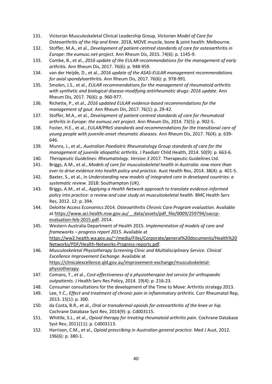- 131. Victorian Musculoskeletal Clinical Leadership Group, *Victorian Model of Care for Osteoarthritis of the Hip and Knee*. 2018, MOVE muscle, bone & joint health: Melbourne.
- 132. Stoffer, M.A., et al., *Development of patient-centred standards of care for osteoarthritis in Europe: the eumusc.net-project.* Ann Rheum Dis, 2015. 74(6): p. 1145-9.
- 133. Combe, B., et al., *2016 update of the EULAR recommendations for the management of early arthritis.* Ann Rheum Dis, 2017. 76(6): p. 948-959.
- 134. van der Heijde, D., et al., *2016 update of the ASAS-EULAR management recommendations for axial spondyloarthritis.* Ann Rheum Dis, 2017. 76(6): p. 978-991.
- 135. Smolen, J.S., et al., *EULAR recommendations for the management of rheumatoid arthritis with synthetic and biological disease-modifying antirheumatic drugs: 2016 update.* Ann Rheum Dis, 2017. 76(6): p. 960-977.
- 136. Richette, P., et al., *2016 updated EULAR evidence-based recommendations for the management of gout.* Ann Rheum Dis, 2017. 76(1): p. 29-42.
- 137. Stoffer, M.A., et al., *Development of patient-centred standards of care for rheumatoid arthritis in Europe: the eumusc.net project.* Ann Rheum Dis, 2014. 73(5): p. 902-5.
- 138. Foster, H.E., et al., *EULAR/PReS standards and recommendations for the transitional care of young people with juvenile-onset rheumatic diseases.* Ann Rheum Dis, 2017. 76(4): p. 639- 646.
- 139. Munro, J., et al., *Australian Paediatric Rheumatology Group standards of care for the management of juvenile idiopathic arthritis.* J Paediatr Child Health, 2014. 50(9): p. 663-6.
- 140. *Therapeutic Guidelines: Rheumatology. Version 3* 2017*.* Therapeutic Guidelines Ltd.
- 141. Briggs, A.M., et al., *Models of care for musculoskeletal health in Australia: now more than ever to drive evidence into health policy and practice.* Aust Health Rev, 2014. 38(4): p. 401-5.
- 142. Baxter, S., et al., in *Understanding new models of integrated care in developed countries: a systematic review*. 2018: Southampton (UK).
- 143. Briggs, A.M., et al., *Applying a Health Network approach to translate evidence-informed policy into practice: a review and case study on musculoskeletal health.* BMC Health Serv Res, 2012. 12: p. 394.
- 144. Deloitte Access Economics 2014*. Osteoarthritis Chronic Care Program evaluation.* Available at https://www.aci.health.nsw.gov.au/\_\_data/assets/pdf\_file/0009/259794/oaccpevaluation-feb-2015.pdf. 2014.
- 145. Western Australia Department of Health 2015*. Implementation of models of care and frameworks – progress report 2015.* Available at https://ww2.health.wa.gov.au/~/media/Files/Corporate/general%20documents/Health%20 Networks/PDF/Health-Networks-Progress-reports.pdf.
- 146. *Musculoskeletal Physiotherapy Screening Clinic and Multidisciplinary Service. Clinical Excellence Improvement Exchange.* Available at https://clinicalexcellence.qld.gov.au/improvement-exchange/musculoskeletalphysiotherapy.
- 147. Comans, T., et al., *Cost-effectiveness of a physiotherapist-led service for orthopaedic outpatients.* J Health Serv Res Policy, 2014. 19(4): p. 216-23.
- 148. Consumer consultations for the development of the Time to Move: Arthritis strategy 2013.
- 149. Lee, Y.C., *Effect and treatment of chronic pain in inflammatory arthritis.* Curr Rheumatol Rep, 2013. 15(1): p. 300.
- 150. da Costa, B.R., et al., *Oral or transdermal opioids for osteoarthritis of the knee or hip.* Cochrane Database Syst Rev, 2014(9): p. Cd003115.
- 151. Whittle, S.L., et al., *Opioid therapy for treating rheumatoid arthritis pain.* Cochrane Database Syst Rev, 2011(11): p. Cd003113.
- 152. Harrison, C.M., et al., *Opioid prescribing in Australian general practice.* Med J Aust, 2012. 196(6): p. 380-1.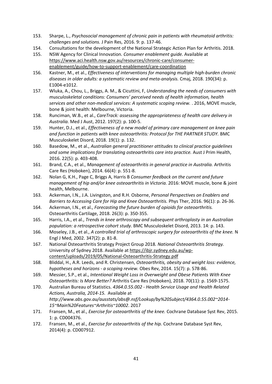- 153. Sharpe, L., *Psychosocial management of chronic pain in patients with rheumatoid arthritis: challenges and solutions.* J Pain Res, 2016. 9: p. 137-46.
- 154. Consultations for the development of the National Strategic Action Plan for Arthritis. 2018.
- 155. NSW Agency for Clinical Innovation*. Consumer enablement guide.* Available at https://www.aci.health.nsw.gov.au/resources/chronic-care/consumerenablement/guide/how-to-support-enablement/care-coordination
- 156. Kastner, M., et al., *Effectiveness of interventions for managing multiple high-burden chronic diseases in older adults: a systematic review and meta-analysis.* Cmaj, 2018. 190(34): p. E1004-e1012.
- 157. Wluka, A., Chou, L., Briggs, A. M., & Cicuttini, F, *Understanding the needs of consumers with musculoskeletal conditions: Consumers' perceived needs of health information, health services and other non-medical services: A systematic scoping review.* . 2016, MOVE muscle, bone & joint health: Melbourne, Victoria.
- 158. Runciman, W.B., et al., *CareTrack: assessing the appropriateness of health care delivery in Australia.* Med J Aust, 2012. 197(2): p. 100-5.
- 159. Hunter, D.J., et al., *Effectiveness of a new model of primary care management on knee pain and function in patients with knee osteoarthritis: Protocol for THE PARTNER STUDY.* BMC Musculoskelet Disord, 2018. 19(1): p. 132.
- 160. Basedow, M., et al., *Australian general practitioner attitudes to clinical practice guidelines and some implications for translating osteoarthritis care into practice.* Aust J Prim Health, 2016. 22(5): p. 403-408.
- 161. Brand, C.A., et al., *Management of osteoarthritis in general practice in Australia.* Arthritis Care Res (Hoboken), 2014. 66(4): p. 551-8.
- 162. Nolan G, K.H., Page C, Briggs A, Harris B *Consumer feedback on the current and future management of hip and/or knee osteoarthritis in Victoria.* 2016: MOVE muscle, bone & joint health, Melbourne.
- 163. Ackerman, I.N., J.A. Livingston, and R.H. Osborne, *Personal Perspectives on Enablers and Barriers to Accessing Care for Hip and Knee Osteoarthritis.* Phys Ther, 2016. 96(1): p. 26-36.
- 164. Ackerman, I.N., et al., *Forecasting the future burden of opioids for osteoarthritis.* Osteoarthritis Cartilage, 2018. 26(3): p. 350-355.
- 165. Harris, I.A., et al., *Trends in knee arthroscopy and subsequent arthroplasty in an Australian population: a retrospective cohort study.* BMC Musculoskelet Disord, 2013. 14: p. 143.
- 166. Moseley, J.B., et al., *A controlled trial of arthroscopic surgery for osteoarthritis of the knee.* N Engl J Med, 2002. 347(2): p. 81-8.
- 167. National Osteoarthritis Strategy Project Group 2018*. National Osteoarthritis Strategy.*  University of Sydney 2018. Available at https://ibjr.sydney.edu.au/wpcontent/uploads/2019/05/National-Osteoarthritis-Strategy.pdf
- 168. Bliddal, H., A.R. Leeds, and R. Christensen, *Osteoarthritis, obesity and weight loss: evidence, hypotheses and horizons - a scoping review.* Obes Rev, 2014. 15(7): p. 578-86.
- 169. Messier, S.P., et al., *Intentional Weight Loss in Overweight and Obese Patients With Knee Osteoarthritis: Is More Better?* Arthritis Care Res (Hoboken), 2018. 70(11): p. 1569-1575.
- 170. Australian Bureau of Statistics. *4364.0.55.002 - Health Service Usage and Health Related Actions, Australia, 2014-15.* Available at *http://www.abs.gov.au/ausstats/abs@.nsf/Lookup/by%20Subject/4364.0.55.002~2014- 15~Main%20Features~Arthritis~10002*. 2017
- 171. Fransen, M., et al., *Exercise for osteoarthritis of the knee.* Cochrane Database Syst Rev, 2015. 1: p. CD004376.
- 172. Fransen, M., et al., *Exercise for osteoarthritis of the hip.* Cochrane Database Syst Rev, 2014(4): p. CD007912.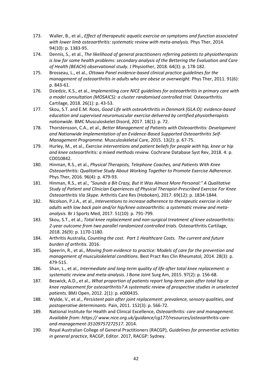- 173. Waller, B., et al., *Effect of therapeutic aquatic exercise on symptoms and function associated with lower limb osteoarthritis: systematic review with meta-analysis.* Phys Ther, 2014. 94(10): p. 1383-95.
- 174. Dennis, S., et al., *The likelihood of general practitioners referring patients to physiotherapists is low for some health problems: secondary analysis of the Bettering the Evaluation and Care of Health (BEACH) observational study.* J Physiother, 2018. 64(3): p. 178-182.
- 175. Brosseau, L., et al., *Ottawa Panel evidence-based clinical practice guidelines for the management of osteoarthritis in adults who are obese or overweight.* Phys Ther, 2011. 91(6): p. 843-61.
- 176. Dziedzic, K.S., et al., *Implementing core NICE guidelines for osteoarthritis in primary care with a model consultation (MOSAICS): a cluster randomised controlled trial.* Osteoarthritis Cartilage, 2018. 26(1): p. 43-53.
- 177. Skou, S.T. and E.M. Roos, *Good Life with osteoArthritis in Denmark (GLA:D): evidence-based education and supervised neuromuscular exercise delivered by certified physiotherapists nationwide.* BMC Musculoskelet Disord, 2017. 18(1): p. 72.
- 178. Thorstensson, C.A., et al., *Better Management of Patients with Osteoarthritis: Development and Nationwide Implementation of an Evidence-Based Supported Osteoarthritis Self-Management Programme.* Musculoskeletal Care, 2015. 13(2): p. 67-75.
- 179. Hurley, M., et al., *Exercise interventions and patient beliefs for people with hip, knee or hip and knee osteoarthritis: a mixed methods review.* Cochrane Database Syst Rev, 2018. 4: p. CD010842.
- 180. Hinman, R.S., et al., *Physical Therapists, Telephone Coaches, and Patients With Knee Osteoarthritis: Qualitative Study About Working Together to Promote Exercise Adherence.* Phys Ther, 2016. 96(4): p. 479-93.
- 181. Hinman, R.S., et al., *"Sounds a Bit Crazy, But It Was Almost More Personal:" A Qualitative Study of Patient and Clinician Experiences of Physical Therapist-Prescribed Exercise For Knee Osteoarthritis Via Skype.* Arthritis Care Res (Hoboken), 2017. 69(12): p. 1834-1844.
- 182. Nicolson, P.J.A., et al., *Interventions to increase adherence to therapeutic exercise in older adults with low back pain and/or hip/knee osteoarthritis: a systematic review and metaanalysis.* Br J Sports Med, 2017. 51(10): p. 791-799.
- 183. Skou, S.T., et al., *Total knee replacement and non-surgical treatment of knee osteoarthritis: 2-year outcome from two parallel randomized controlled trials.* Osteoarthritis Cartilage, 2018. 26(9): p. 1170-1180.
- 184. Arthritis Australia, *Counting the cost. Part 1 Healthcare Costs. The current and future burden of arthritis.* 2016.
- 185. Speerin, R., et al., *Moving from evidence to practice: Models of care for the prevention and management of musculoskeletal conditions.* Best Pract Res Clin Rheumatol, 2014. 28(3): p. 479-515.
- 186. Shan, L., et al., *Intermediate and long-term quality of life after total knee replacement: a systematic review and meta-analysis.* J Bone Joint Surg Am, 2015. 97(2): p. 156-68.
- 187. Beswick, A.D., et al., *What proportion of patients report long-term pain after total hip or knee replacement for osteoarthritis? A systematic review of prospective studies in unselected patients.* BMJ Open, 2012. 2(1): p. e000435.
- 188. Wylde, V., et al., *Persistent pain after joint replacement: prevalence, sensory qualities, and postoperative determinants.* Pain, 2011. 152(3): p. 566-72.
- 189. National Institute for Health and Clinical Excellence, *Osteoarthritis: care and management. Available from: https:// www.nice.org.uk/guidance/cg177/resources/osteoarthritis-careand-management-35109757272517*. 2014.
- 190. Royal Australian College of General Practitioners (RACGP), *Guidelines for preventive activities in general practice*, RACGP, Editor. 2017, RACGP: Sydney.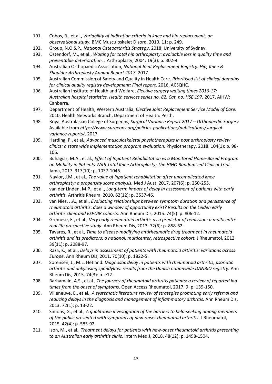- 191. Cobos, R., et al., *Variability of indication criteria in knee and hip replacement: an observational study.* BMC Musculoskelet Disord, 2010. 11: p. 249.
- 192. Group, N.O.S.P., *National Osteoarthritis Strategy*. 2018, University of Sydney.
- 193. Ostendorf, M., et al., *Waiting for total hip arthroplasty: avoidable loss in quality time and preventable deterioration.* J Arthroplasty, 2004. 19(3): p. 302-9.
- 194. Australian Orthopaedic Association, *National Joint Replacement Registry. Hip, Knee & Shoulder Arthroplasty Annual Report 2017*. 2017.
- 195. Australian Commission of Safety and Quality in Health Care. *Prioritised list of clinical domains for clinical quality registry development: Final report*. 2016, ACSQHC.
- 196. Australian Institute of Health and Welfare, *Elective surgery waiting times 2016-17: Australian hospital statistics. Health services series no. 82. Cat. no. HSE 197.* 2017, AIHW: Canberra.
- 197. Department of Health, Western Australia, *Elective Joint Replacement Service Model of Care*. 2010, Health Networks Branch, Department of Health: Perth.
- 198. Royal Australasian College of Surgeons, *Surgical Variance Report 2017 – Orthopaedic Surgery*  Available from *https://www.surgeons.org/policies-publications/publications/surgicalvariance-reports/*. 2017.
- 199. Harding, P., et al., *Advanced musculoskeletal physiotherapists in post arthroplasty review clinics: a state wide implementation program evaluation.* Physiotherapy, 2018. 104(1): p. 98- 106.
- 200. Buhagiar, M.A., et al., *Effect of Inpatient Rehabilitation vs a Monitored Home-Based Program on Mobility in Patients With Total Knee Arthroplasty: The HIHO Randomized Clinical Trial.* Jama, 2017. 317(10): p. 1037-1046.
- 201. Naylor, J.M., et al., *The value of inpatient rehabilitation after uncomplicated knee arthroplasty: a propensity score analysis.* Med J Aust, 2017. 207(6): p. 250-255.
- 202. van der Linden, M.P., et al., *Long-term impact of delay in assessment of patients with early arthritis.* Arthritis Rheum, 2010. 62(12): p. 3537-46.
- 203. van Nies, J.A., et al., *Evaluating relationships between symptom duration and persistence of rheumatoid arthritis: does a window of opportunity exist? Results on the Leiden early arthritis clinic and ESPOIR cohorts.* Ann Rheum Dis, 2015. 74(5): p. 806-12.
- 204. Gremese, E., et al., *Very early rheumatoid arthritis as a predictor of remission: a multicentre real life prospective study.* Ann Rheum Dis, 2013. 72(6): p. 858-62.
- 205. Tavares, R., et al., *Time to disease-modifying antirheumatic drug treatment in rheumatoid arthritis and its predictors: a national, multicenter, retrospective cohort.* J Rheumatol, 2012. 39(11): p. 2088-97.
- 206. Raza, K., et al., *Delays in assessment of patients with rheumatoid arthritis: variations across Europe.* Ann Rheum Dis, 2011. 70(10): p. 1822-5.
- 207. Sorensen, J., M.L. Hetland. *Diagnostic delay in patients with rheumatoid arthritis, psoriatic arthritis and ankylosing spondylitis: results from the Danish nationwide DANBIO registry.* Ann Rheum Dis, 2015. 74(3): p. e12.
- 208. Barhamain, A.S., et al., *The journey of rheumatoid arthritis patients: a review of reported lag times from the onset of symptoms.* Open Access Rheumatol, 2017. 9: p. 139-150.
- 209. Villeneuve, E., et al., *A systematic literature review of strategies promoting early referral and reducing delays in the diagnosis and management of inflammatory arthritis.* Ann Rheum Dis, 2013. 72(1): p. 13-22.
- 210. Simons, G., et al., *A qualitative investigation of the barriers to help-seeking among members of the public presented with symptoms of new-onset rheumatoid arthritis.* J Rheumatol, 2015. 42(4): p. 585-92.
- 211. Ison, M., et al., *Treatment delays for patients with new-onset rheumatoid arthritis presenting to an Australian early arthritis clinic.* Intern Med J, 2018. 48(12): p. 1498-1504.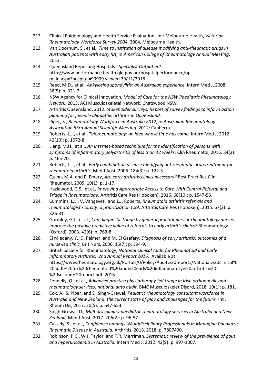- 212. Clinical Epidemiology and Health Service Evaluation Unit Melbourne Health, *Victorian Rheumatology Workforce Survey 2004*. 2004, Melbourne Health.
- 213. Van Doornum, S., et al., *Time to Institution of disease modifying anti-rheumatic drugs in Australian patients with early RA*, in *American College of Rheumatology Annual Meeting*. 2013.
- 214. Queensland Reporting Hospitals *- Specialist Outpatient.*  http://www.performance.health.qld.gov.au/hospitalperformance/opmain.aspx?hospital=99999 viewed 29/11/2018.
- 215. Reed, M.D., et al., *Ankylosing spondylitis: an Australian experience.* Intern Med J, 2008. 38(5): p. 321-7.
- 216. NSW Agency for Clinical Innovation, *Model of Care for the NSW Paediatric Rheumatology Nework*. 2013, ACI Musculoskeletal Network: Chatswood NSW.
- 217. Arthritis Queensland, 2012. *Stakeholder surveys: Report of survey findings to inform action planning for juvenile idiopathic arthritis in Queensland.*
- 218. Piper, S., *Rheumatology Workforce in Australia 2012*, in *Australian Rheumatology Association 53rd Annual Scientific Meeting*. 2012: Canberra.
- 219. Roberts, L.J., et al., *Telerheumatology: an idea whose time has come.* Intern Med J, 2012. 42(10): p. 1072-8.
- 220. Liang, M.H., et al., *An Internet-based technique for the identification of persons with symptoms of inflammatory polyarthritis of less than 12 weeks.* Clin Rheumatol, 2015. 34(3): p. 465-70.
- 221. Roberts, L.J., et al., *Early combination disease modifying antirheumatic drug treatment for rheumatoid arthritis.* Med J Aust, 2006. 184(3): p. 122-5.
- 222. Quinn, M.A. and P. Emery, *Are early arthritis clinics necessary?* Best Pract Res Clin Rheumatol, 2005. 19(1): p. 1-17.
- 223. Hazlewood, G.S., et al., *Improving Appropriate Access to Care With Central Referral and Triage in Rheumatology.* Arthritis Care Res (Hoboken), 2016. 68(10): p. 1547-53.
- 224. Cummins, L.L., V. Vangaveti, and L.J. Roberts, *Rheumatoid arthritis referrals and rheumatologist scarcity: a prioritization tool.* Arthritis Care Res (Hoboken), 2015. 67(3): p. 326-31.
- 225. Gormley, G.J., et al., *Can diagnostic triage by general practitioners or rheumatology nurses improve the positive predictive value of referrals to early arthritis clinics?* Rheumatology (Oxford), 2003. 42(6): p. 763-8.
- 226. El Miedany, Y., D. Palmer, and M. El Gaafary, *Diagnosis of early arthritis: outcomes of a nurse-led clinic.* Br J Nurs, 2006. 15(7): p. 394-9.
- 227. British Society for Rheumatology, *National Clinical Audit for Rheumatoid and Early Inflammatory Arthritis. 2nd Annual Report 2016.* Available at https://www.rheumatology.org.uk/Portals/0/Policy/Audit%20reports/National%20clinical% 20audt%20for%20rheumatoid%20and%20early%20inflammatory%20arthritis%20- %20second%20report.pdf. 2016.
- 228. Fennelly, O., et al., *Advanced practice physiotherapy-led triage in Irish orthopaedic and rheumatology services: national data audit.* BMC Musculoskelet Disord, 2018. 19(1): p. 181.
- 229. Cox, A., S. Piper, and D. Singh-Grewal, *Pediatric rheumatology consultant workforce in Australia and New Zealand: the current state of play and challenges for the future.* Int J Rheum Dis, 2017. 20(5): p. 647-653.
- 230. Singh-Grewal, D., *Multidisciplinary paediatric rheumatology services in Australia and New Zealand.* Med J Aust, 2017. 206(2): p. 96-97.
- 231. Cassidy, S., et al., *Confidence amongst Multidisciplinary Professionals in Managing Paediatric Rheumatic Disease in Australia.* Arthritis, 2018. 2018: p. 7807490.
- 232. Robinson, P.C., W.J. Taylor, and T.R. Merriman, *Systematic review of the prevalence of gout and hyperuricaemia in Australia.* Intern Med J, 2012. 42(9): p. 997-1007.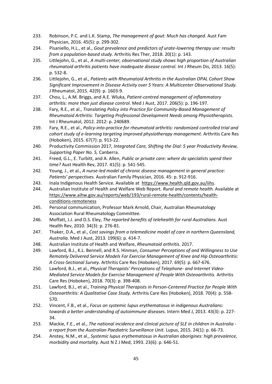- 233. Robinson, P.C. and L.K. Stamp, *The management of gout: Much has changed.* Aust Fam Physician, 2016. 45(5): p. 299-302.
- 234. Pisaniello, H.L., et al., *Gout prevalence and predictors of urate-lowering therapy use: results from a population-based study.* Arthritis Res Ther, 2018. 20(1): p. 143.
- 235. Littlejohn, G., et al., *A multi-center, observational study shows high proportion of Australian rheumatoid arthritis patients have inadequate disease control.* Int J Rheum Dis, 2013. 16(5): p. 532-8.
- 236. Littlejohn, G., et al., *Patients with Rheumatoid Arthritis in the Australian OPAL Cohort Show Significant Improvement in Disease Activity over 5 Years: A Multicenter Observational Study.* J Rheumatol, 2015. 42(9): p. 1603-9.
- 237. Chou, L., A.M. Briggs, and A.E. Wluka, *Patient-centred management of inflammatory arthritis: more than just disease control.* Med J Aust, 2017. 206(5): p. 196-197.
- 238. Fary, R.E., et al., *Translating Policy into Practice for Community-Based Management of Rheumatoid Arthritis: Targeting Professional Development Needs among Physiotherapists.* Int J Rheumatol, 2012. 2012: p. 240689.
- 239. Fary, R.E., et al., *Policy-into-practice for rheumatoid arthritis: randomized controlled trial and cohort study of e-learning targeting improved physiotherapy management.* Arthritis Care Res (Hoboken), 2015. 67(7): p. 913-22.
- 240. Productivity Commission 2017*, Integrated Care, Shifting the Dial: 5 year Productivity Review, Supporting Paper No. 5,* Canberra.
- 241. Freed, G.L., E. Turbitt, and A. Allen, *Public or private care: where do specialists spend their time?* Aust Health Rev, 2017. 41(5): p. 541-545.
- 242. Young, J., et al., *A nurse-led model of chronic disease management in general practice: Patients' perspectives.* Australian Family Physician, 2016. 45: p. 912-916.
- 243. Inala Indigenous Health Service*.* Available at https://www.health.qld.gov.au/iihs.
- 244. Australian Institute of Health and Welfare Web Report*. Rural and remote health.* Available at https://www.aihw.gov.au/reports/web/193/rural-remote-health/contents/healthconditions-remoteness
- 245. Personal communication, Professor Mark Arnold, Chair, Australian Rheumatology Association Rural Rheumatology Committee.
- 246. Moffatt, J.J. and D.S. Eley, *The reported benefits of telehealth for rural Australians.* Aust Health Rev, 2010. 34(3): p. 276-81.
- 247. Thaker, D.A., et al., *Cost savings from a telemedicine model of care in northern Queensland, Australia.* Med J Aust, 2013. 199(6): p. 414-7.
- 248. Australian Institute of Health and Welfare, *Rheumatoid arthritis*. 2017.
- 249. Lawford, B.J., K.L. Bennell, and R.S. Hinman, *Consumer Perceptions of and Willingness to Use Remotely Delivered Service Models For Exercise Management of Knee and Hip Osteoarthritis: A Cross-Sectional Survey.* Arthritis Care Res (Hoboken), 2017. 69(5): p. 667-676.
- 250. Lawford, B.J., et al., *Physical Therapists' Perceptions of Telephone- and Internet Video-Mediated Service Models for Exercise Management of People With Osteoarthritis.* Arthritis Care Res (Hoboken), 2018. 70(3): p. 398-408.
- 251. Lawford, B.J., et al., *Training Physical Therapists in Person-Centered Practice for People With Osteoarthritis: A Qualitative Case Study.* Arthritis Care Res (Hoboken), 2018. 70(4): p. 558- 570.
- 252. Vincent, F.B., et al., *Focus on systemic lupus erythematosus in indigenous Australians: towards a better understanding of autoimmune diseases.* Intern Med J, 2013. 43(3): p. 227- 34.
- 253. Mackie, F.E., et al., *The national incidence and clinical picture of SLE in children in Australia a report from the Australian Paediatric Surveillance Unit.* Lupus, 2015. 24(1): p. 66-73.
- 254. Anstey, N.M., et al., *Systemic lupus erythematosus in Australian aborigines: high prevalence, morbidity and mortality.* Aust N Z J Med, 1993. 23(6): p. 646-51.